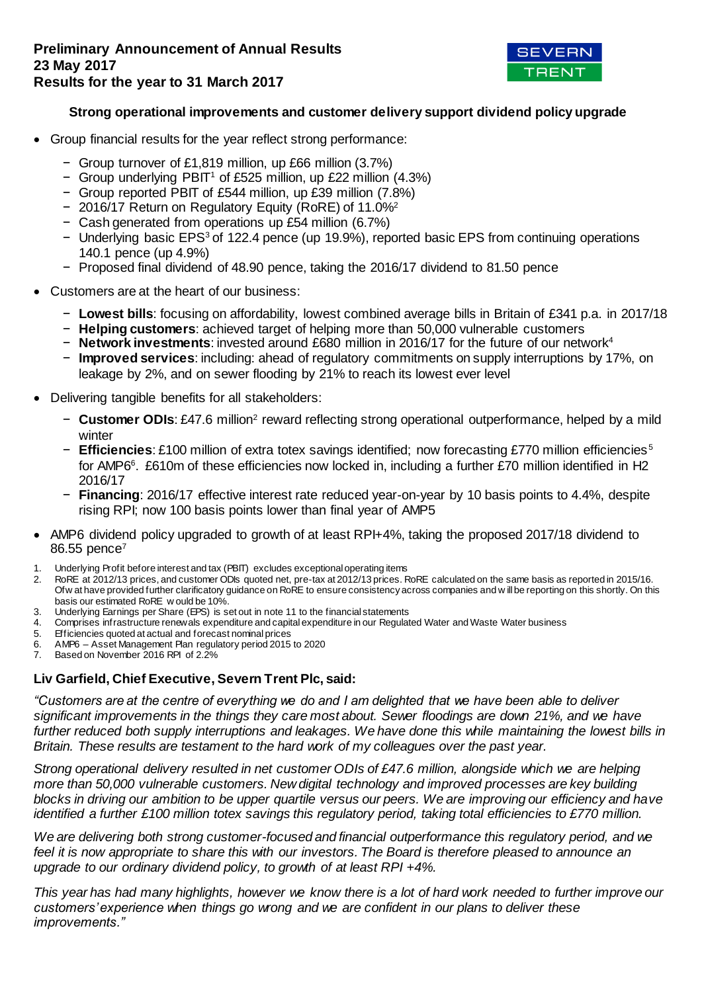

## **Strong operational improvements and customer delivery support dividend policy upgrade**

- Group financial results for the year reflect strong performance:
	- − Group turnover of £1,819 million, up £66 million (3.7%)
	- − Group underlying PBIT<sup>1</sup> of £525 million, up £22 million (4.3%)
	- − Group reported PBIT of £544 million, up £39 million (7.8%)
	- − 2016/17 Return on Regulatory Equity (RoRE) of 11.0%<sup>2</sup>
	- − Cash generated from operations up £54 million (6.7%)
	- − Underlying basic EPS<sup>3</sup> of 122.4 pence (up 19.9%), reported basic EPS from continuing operations 140.1 pence (up 4.9%)
	- − Proposed final dividend of 48.90 pence, taking the 2016/17 dividend to 81.50 pence
- Customers are at the heart of our business:
	- − **Lowest bills**: focusing on affordability, lowest combined average bills in Britain of £341 p.a. in 2017/18
	- − **Helping customers**: achieved target of helping more than 50,000 vulnerable customers
	- − **Network investments**: invested around £680 million in 2016/17 for the future of our network<sup>4</sup>
	- − **Improved services**: including: ahead of regulatory commitments on supply interruptions by 17%, on leakage by 2%, and on sewer flooding by 21% to reach its lowest ever level
- Delivering tangible benefits for all stakeholders:
	- − **Customer ODIs**: £47.6 million<sup>2</sup> reward reflecting strong operational outperformance, helped by a mild winter
	- − **Efficiencies**: £100 million of extra totex savings identified; now forecasting £770 million efficiencies <sup>5</sup> for AMP6<sup>6</sup>. £610m of these efficiencies now locked in, including a further £70 million identified in H2 2016/17
	- − **Financing**: 2016/17 effective interest rate reduced year-on-year by 10 basis points to 4.4%, despite rising RPI; now 100 basis points lower than final year of AMP5
- AMP6 dividend policy upgraded to growth of at least RPI+4%, taking the proposed 2017/18 dividend to 86.55 pence<sup>7</sup>
- 1. Underlying Profit before interest and tax (PBIT) excludes exceptional operating items 2. RoRE at 2012/13 prices, and customer ODIs quoted net, pre-tax at 2012/13 prices. F
- 2. RoRE at 2012/13 prices, and customer ODIs quoted net, pre-tax at 2012/13 prices. RoRE calculated on the same basis as reported in 2015/16. Ofw at have provided further clarificatory guidance on RoRE to ensure consistency across companies and w ill be reporting on this shortly. On this basis our estimated RoRE w ould be 10%.
- 3. Underlying Earnings per Share (EPS) is set out in note 11 to the financial statements
- 4. Comprises infrastructure renewals expenditure and capital expenditure in our Regulated Water and Waste Water business
- 5. Efficiencies quoted at actual and forecast nominal prices
- 6. AMP6 Asset Management Plan regulatory period 2015 to 2020
- Based on November 2016 RPI of 2.2%

## **Liv Garfield, Chief Executive, Severn Trent Plc, said:**

*"Customers are at the centre of everything we do and I am delighted that we have been able to deliver significant improvements in the things they care most about. Sewer floodings are down 21%, and we have further reduced both supply interruptions and leakages. We have done this while maintaining the lowest bills in Britain. These results are testament to the hard work of my colleagues over the past year.* 

*Strong operational delivery resulted in net customer ODIs of £47.6 million, alongside which we are helping more than 50,000 vulnerable customers. New digital technology and improved processes are key building blocks in driving our ambition to be upper quartile versus our peers. We are improving our efficiency and have identified a further £100 million totex savings this regulatory period, taking total efficiencies to £770 million.* 

*We are delivering both strong customer-focused and financial outperformance this regulatory period, and we feel it is now appropriate to share this with our investors. The Board is therefore pleased to announce an upgrade to our ordinary dividend policy, to growth of at least RPI +4%.*

*This year has had many highlights, however we know there is a lot of hard work needed to further improve our customers' experience when things go wrong and we are confident in our plans to deliver these improvements."*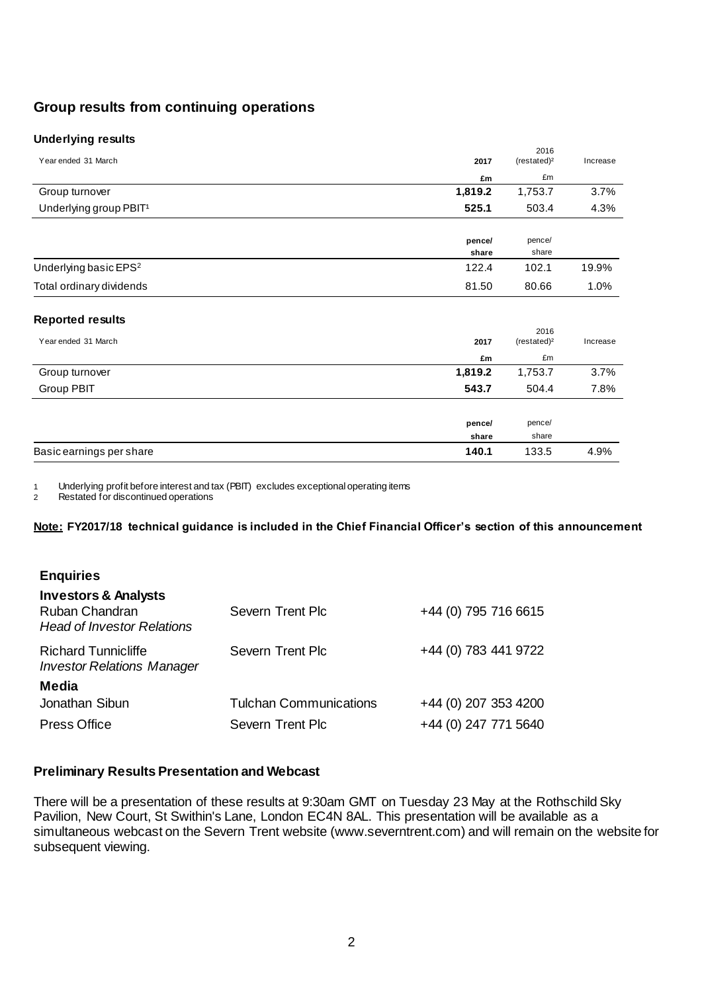# **Group results from continuing operations**

### **Underlying results**

|                                    |         | 2016                  |          |
|------------------------------------|---------|-----------------------|----------|
| Year ended 31 March                | 2017    | (rested) <sup>2</sup> | Increase |
|                                    | £m      | £m                    |          |
| Group turnover                     | 1,819.2 | 1,753.7               | 3.7%     |
| Underlying group PBIT <sup>1</sup> | 525.1   | 503.4                 | 4.3%     |
|                                    | pence/  | pence/                |          |
|                                    | share   | share                 |          |
| Underlying basic EPS <sup>2</sup>  | 122.4   | 102.1                 | 19.9%    |
| Total ordinary dividends           | 81.50   | 80.66                 | 1.0%     |
|                                    |         |                       |          |
| <b>Reported results</b>            |         |                       |          |

| Year ended 31 March      | 2017    | 2016<br>(rested) <sup>2</sup> | Increase |
|--------------------------|---------|-------------------------------|----------|
|                          | £m      | £m                            |          |
| Group turnover           | 1,819.2 | 1,753.7                       | 3.7%     |
| Group PBIT               | 543.7   | 504.4                         | 7.8%     |
|                          |         |                               |          |
|                          | pence/  | pence/                        |          |
|                          | share   | share                         |          |
| Basic earnings per share | 140.1   | 133.5                         | 4.9%     |

1 Underlying profit before interest and tax (PBIT) excludes exceptional operating items

2 Restated for discontinued operations

**Note: FY2017/18 technical guidance is included in the Chief Financial Officer's section of this announcement**

| +44 (0) 795 716 6615 |
|----------------------|
| +44 (0) 783 441 9722 |
|                      |
| +44 (0) 207 353 4200 |
| +44 (0) 247 771 5640 |
|                      |

### **Preliminary Results Presentation and Webcast**

There will be a presentation of these results at 9:30am GMT on Tuesday 23 May at the Rothschild Sky Pavilion, New Court, St Swithin's Lane, London EC4N 8AL. This presentation will be available as a simultaneous webcast on the Severn Trent website (www.severntrent.com) and will remain on the website for subsequent viewing.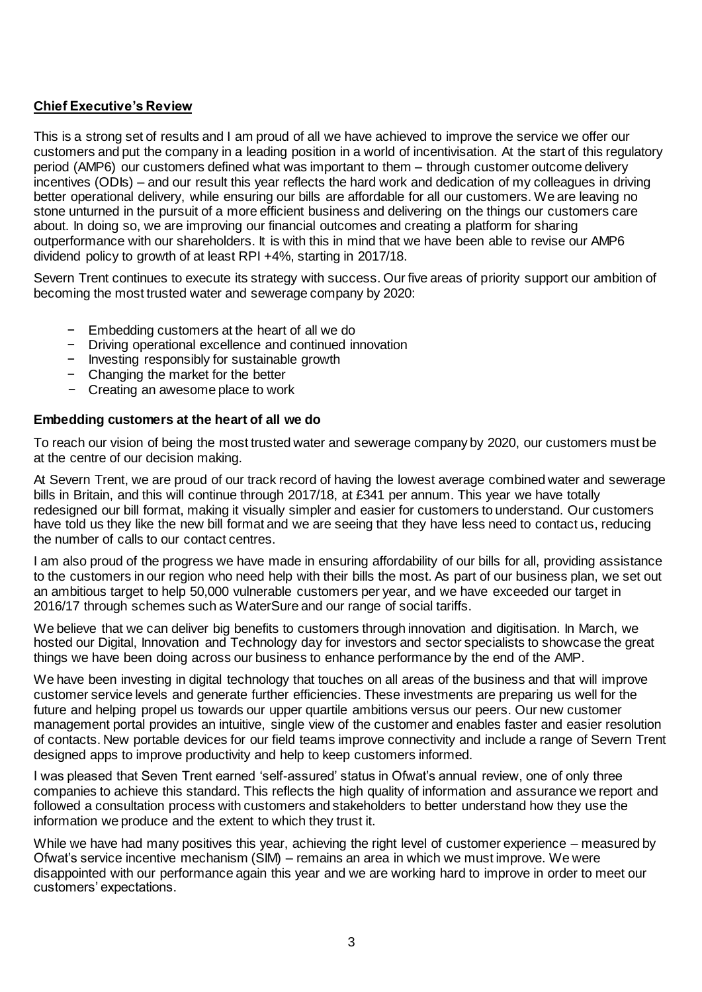# **Chief Executive's Review**

This is a strong set of results and I am proud of all we have achieved to improve the service we offer our customers and put the company in a leading position in a world of incentivisation. At the start of this regulatory period (AMP6) our customers defined what was important to them – through customer outcome delivery incentives (ODIs) – and our result this year reflects the hard work and dedication of my colleagues in driving better operational delivery, while ensuring our bills are affordable for all our customers. We are leaving no stone unturned in the pursuit of a more efficient business and delivering on the things our customers care about. In doing so, we are improving our financial outcomes and creating a platform for sharing outperformance with our shareholders. It is with this in mind that we have been able to revise our AMP6 dividend policy to growth of at least RPI +4%, starting in 2017/18.

Severn Trent continues to execute its strategy with success. Our five areas of priority support our ambition of becoming the most trusted water and sewerage company by 2020:

- − Embedding customers at the heart of all we do
- − Driving operational excellence and continued innovation
- − Investing responsibly for sustainable growth
- − Changing the market for the better
- − Creating an awesome place to work

## **Embedding customers at the heart of all we do**

To reach our vision of being the most trusted water and sewerage company by 2020, our customers must be at the centre of our decision making.

At Severn Trent, we are proud of our track record of having the lowest average combined water and sewerage bills in Britain, and this will continue through 2017/18, at £341 per annum. This year we have totally redesigned our bill format, making it visually simpler and easier for customers to understand. Our customers have told us they like the new bill format and we are seeing that they have less need to contact us, reducing the number of calls to our contact centres.

I am also proud of the progress we have made in ensuring affordability of our bills for all, providing assistance to the customers in our region who need help with their bills the most. As part of our business plan, we set out an ambitious target to help 50,000 vulnerable customers per year, and we have exceeded our target in 2016/17 through schemes such as WaterSure and our range of social tariffs.

We believe that we can deliver big benefits to customers through innovation and digitisation. In March, we hosted our Digital, Innovation and Technology day for investors and sector specialists to showcase the great things we have been doing across our business to enhance performance by the end of the AMP.

We have been investing in digital technology that touches on all areas of the business and that will improve customer service levels and generate further efficiencies. These investments are preparing us well for the future and helping propel us towards our upper quartile ambitions versus our peers. Our new customer management portal provides an intuitive, single view of the customer and enables faster and easier resolution of contacts. New portable devices for our field teams improve connectivity and include a range of Severn Trent designed apps to improve productivity and help to keep customers informed.

I was pleased that Seven Trent earned 'self-assured' status in Ofwat's annual review, one of only three companies to achieve this standard. This reflects the high quality of information and assurance we report and followed a consultation process with customers and stakeholders to better understand how they use the information we produce and the extent to which they trust it.

While we have had many positives this year, achieving the right level of customer experience – measured by Ofwat's service incentive mechanism (SIM) – remains an area in which we must improve. We were disappointed with our performance again this year and we are working hard to improve in order to meet our customers' expectations.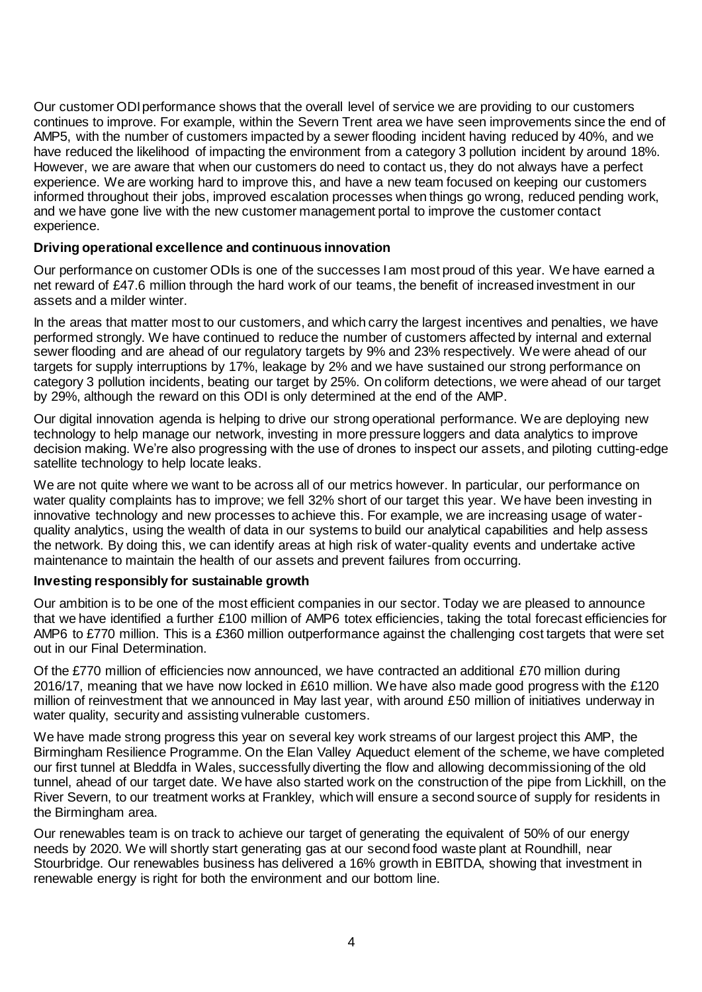Our customer ODI performance shows that the overall level of service we are providing to our customers continues to improve. For example, within the Severn Trent area we have seen improvements since the end of AMP5, with the number of customers impacted by a sewer flooding incident having reduced by 40%, and we have reduced the likelihood of impacting the environment from a category 3 pollution incident by around 18%. However, we are aware that when our customers do need to contact us, they do not always have a perfect experience. We are working hard to improve this, and have a new team focused on keeping our customers informed throughout their jobs, improved escalation processes when things go wrong, reduced pending work, and we have gone live with the new customer management portal to improve the customer contact experience.

## **Driving operational excellence and continuous innovation**

Our performance on customer ODIs is one of the successes I am most proud of this year. We have earned a net reward of £47.6 million through the hard work of our teams, the benefit of increased investment in our assets and a milder winter.

In the areas that matter most to our customers, and which carry the largest incentives and penalties, we have performed strongly. We have continued to reduce the number of customers affected by internal and external sewer flooding and are ahead of our regulatory targets by 9% and 23% respectively. We were ahead of our targets for supply interruptions by 17%, leakage by 2% and we have sustained our strong performance on category 3 pollution incidents, beating our target by 25%. On coliform detections, we were ahead of our target by 29%, although the reward on this ODI is only determined at the end of the AMP.

Our digital innovation agenda is helping to drive our strong operational performance. We are deploying new technology to help manage our network, investing in more pressure loggers and data analytics to improve decision making. We're also progressing with the use of drones to inspect our assets, and piloting cutting-edge satellite technology to help locate leaks.

We are not quite where we want to be across all of our metrics however. In particular, our performance on water quality complaints has to improve; we fell 32% short of our target this year. We have been investing in innovative technology and new processes to achieve this. For example, we are increasing usage of waterquality analytics, using the wealth of data in our systems to build our analytical capabilities and help assess the network. By doing this, we can identify areas at high risk of water-quality events and undertake active maintenance to maintain the health of our assets and prevent failures from occurring.

## **Investing responsibly for sustainable growth**

Our ambition is to be one of the most efficient companies in our sector. Today we are pleased to announce that we have identified a further £100 million of AMP6 totex efficiencies, taking the total forecast efficiencies for AMP6 to £770 million. This is a £360 million outperformance against the challenging cost targets that were set out in our Final Determination.

Of the £770 million of efficiencies now announced, we have contracted an additional £70 million during 2016/17, meaning that we have now locked in £610 million. We have also made good progress with the £120 million of reinvestment that we announced in May last year, with around £50 million of initiatives underway in water quality, security and assisting vulnerable customers.

We have made strong progress this year on several key work streams of our largest project this AMP, the Birmingham Resilience Programme. On the Elan Valley Aqueduct element of the scheme, we have completed our first tunnel at Bleddfa in Wales, successfully diverting the flow and allowing decommissioning of the old tunnel, ahead of our target date. We have also started work on the construction of the pipe from Lickhill, on the River Severn, to our treatment works at Frankley, which will ensure a second source of supply for residents in the Birmingham area.

Our renewables team is on track to achieve our target of generating the equivalent of 50% of our energy needs by 2020. We will shortly start generating gas at our second food waste plant at Roundhill, near Stourbridge. Our renewables business has delivered a 16% growth in EBITDA, showing that investment in renewable energy is right for both the environment and our bottom line.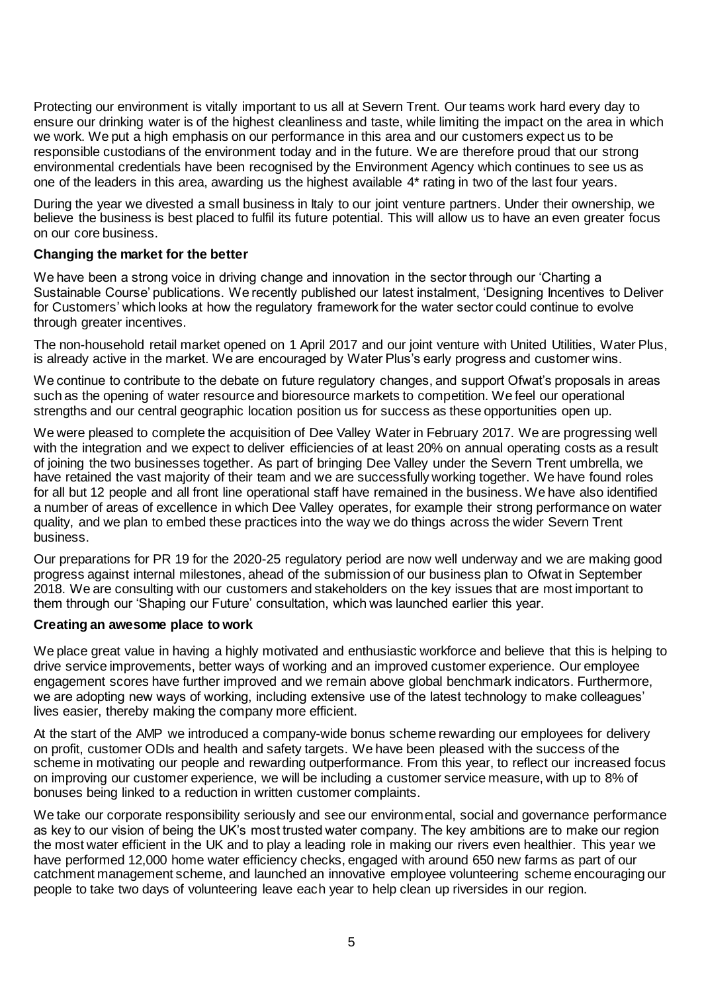Protecting our environment is vitally important to us all at Severn Trent. Our teams work hard every day to ensure our drinking water is of the highest cleanliness and taste, while limiting the impact on the area in which we work. We put a high emphasis on our performance in this area and our customers expect us to be responsible custodians of the environment today and in the future. We are therefore proud that our strong environmental credentials have been recognised by the Environment Agency which continues to see us as one of the leaders in this area, awarding us the highest available 4\* rating in two of the last four years.

During the year we divested a small business in Italy to our joint venture partners. Under their ownership, we believe the business is best placed to fulfil its future potential. This will allow us to have an even greater focus on our core business.

## **Changing the market for the better**

We have been a strong voice in driving change and innovation in the sector through our 'Charting a Sustainable Course' publications. We recently published our latest instalment, 'Designing Incentives to Deliver for Customers' which looks at how the regulatory framework for the water sector could continue to evolve through greater incentives.

The non-household retail market opened on 1 April 2017 and our joint venture with United Utilities, Water Plus, is already active in the market. We are encouraged by Water Plus's early progress and customer wins.

We continue to contribute to the debate on future regulatory changes, and support Ofwat's proposals in areas such as the opening of water resource and bioresource markets to competition. We feel our operational strengths and our central geographic location position us for success as these opportunities open up.

We were pleased to complete the acquisition of Dee Valley Water in February 2017. We are progressing well with the integration and we expect to deliver efficiencies of at least 20% on annual operating costs as a result of joining the two businesses together. As part of bringing Dee Valley under the Severn Trent umbrella, we have retained the vast majority of their team and we are successfully working together. We have found roles for all but 12 people and all front line operational staff have remained in the business. We have also identified a number of areas of excellence in which Dee Valley operates, for example their strong performance on water quality, and we plan to embed these practices into the way we do things across the wider Severn Trent business.

Our preparations for PR 19 for the 2020-25 regulatory period are now well underway and we are making good progress against internal milestones, ahead of the submission of our business plan to Ofwat in September 2018. We are consulting with our customers and stakeholders on the key issues that are most important to them through our 'Shaping our Future' consultation, which was launched earlier this year.

## **Creating an awesome place to work**

We place great value in having a highly motivated and enthusiastic workforce and believe that this is helping to drive service improvements, better ways of working and an improved customer experience. Our employee engagement scores have further improved and we remain above global benchmark indicators. Furthermore, we are adopting new ways of working, including extensive use of the latest technology to make colleagues' lives easier, thereby making the company more efficient.

At the start of the AMP we introduced a company-wide bonus scheme rewarding our employees for delivery on profit, customer ODIs and health and safety targets. We have been pleased with the success of the scheme in motivating our people and rewarding outperformance. From this year, to reflect our increased focus on improving our customer experience, we will be including a customer service measure, with up to 8% of bonuses being linked to a reduction in written customer complaints.

We take our corporate responsibility seriously and see our environmental, social and governance performance as key to our vision of being the UK's most trusted water company. The key ambitions are to make our region the most water efficient in the UK and to play a leading role in making our rivers even healthier. This year we have performed 12,000 home water efficiency checks, engaged with around 650 new farms as part of our catchment management scheme, and launched an innovative employee volunteering scheme encouraging our people to take two days of volunteering leave each year to help clean up riversides in our region.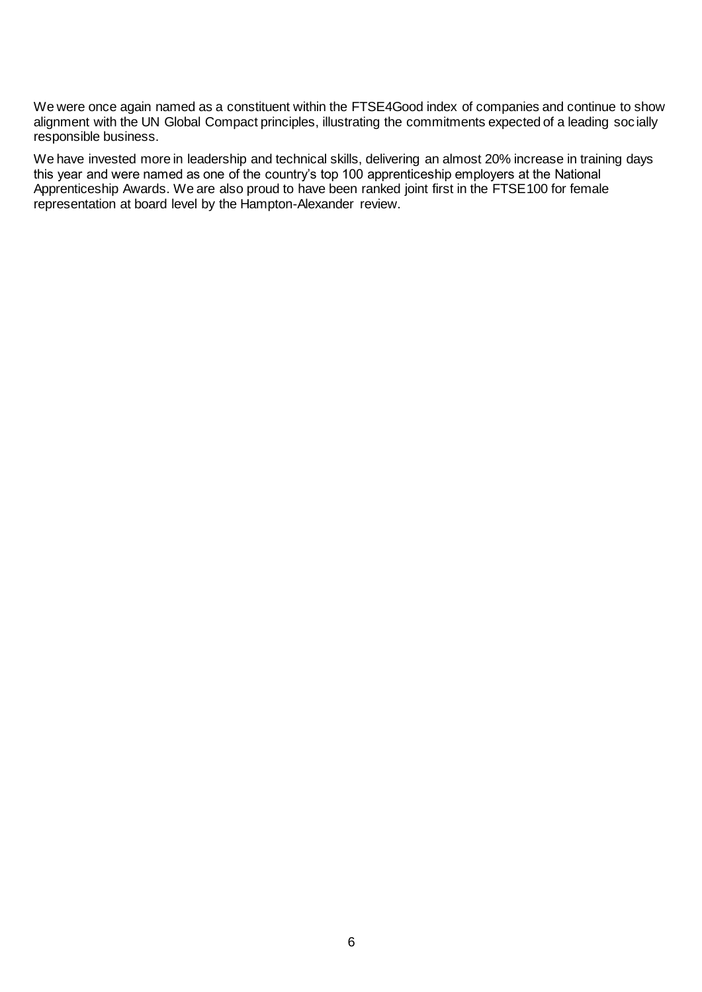We were once again named as a constituent within the FTSE4Good index of companies and continue to show alignment with the UN Global Compact principles, illustrating the commitments expected of a leading socially responsible business.

We have invested more in leadership and technical skills, delivering an almost 20% increase in training days this year and were named as one of the country's top 100 apprenticeship employers at the National Apprenticeship Awards. We are also proud to have been ranked joint first in the FTSE100 for female representation at board level by the Hampton-Alexander review.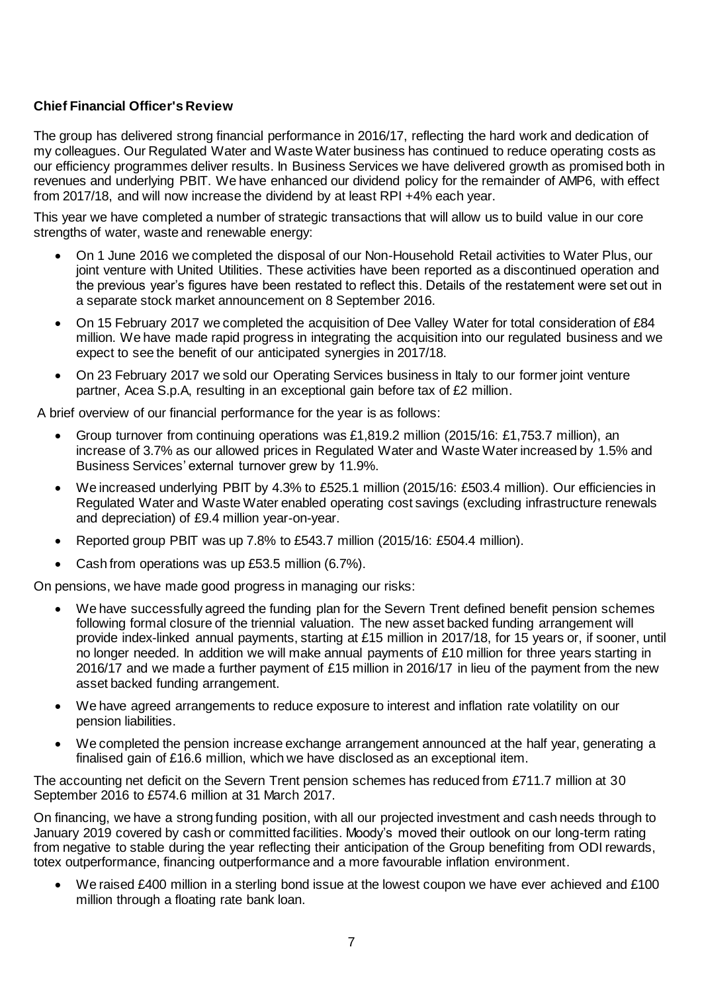# **Chief Financial Officer's Review**

The group has delivered strong financial performance in 2016/17, reflecting the hard work and dedication of my colleagues. Our Regulated Water and Waste Water business has continued to reduce operating costs as our efficiency programmes deliver results. In Business Services we have delivered growth as promised both in revenues and underlying PBIT. We have enhanced our dividend policy for the remainder of AMP6, with effect from 2017/18, and will now increase the dividend by at least RPI +4% each year.

This year we have completed a number of strategic transactions that will allow us to build value in our core strengths of water, waste and renewable energy:

- On 1 June 2016 we completed the disposal of our Non-Household Retail activities to Water Plus, our joint venture with United Utilities. These activities have been reported as a discontinued operation and the previous year's figures have been restated to reflect this. Details of the restatement were set out in a separate stock market announcement on 8 September 2016.
- On 15 February 2017 we completed the acquisition of Dee Valley Water for total consideration of £84 million. We have made rapid progress in integrating the acquisition into our regulated business and we expect to see the benefit of our anticipated synergies in 2017/18.
- On 23 February 2017 we sold our Operating Services business in Italy to our former joint venture partner, Acea S.p.A, resulting in an exceptional gain before tax of £2 million.

A brief overview of our financial performance for the year is as follows:

- Group turnover from continuing operations was £1,819.2 million (2015/16: £1,753.7 million), an increase of 3.7% as our allowed prices in Regulated Water and Waste Water increased by 1.5% and Business Services' external turnover grew by 11.9%.
- We increased underlying PBIT by 4.3% to £525.1 million (2015/16: £503.4 million). Our efficiencies in Regulated Water and Waste Water enabled operating cost savings (excluding infrastructure renewals and depreciation) of £9.4 million year-on-year.
- Reported group PBIT was up 7.8% to £543.7 million (2015/16: £504.4 million).
- Cash from operations was up £53.5 million (6.7%).

On pensions, we have made good progress in managing our risks:

- We have successfully agreed the funding plan for the Severn Trent defined benefit pension schemes following formal closure of the triennial valuation. The new asset backed funding arrangement will provide index-linked annual payments, starting at £15 million in 2017/18, for 15 years or, if sooner, until no longer needed. In addition we will make annual payments of £10 million for three years starting in 2016/17 and we made a further payment of £15 million in 2016/17 in lieu of the payment from the new asset backed funding arrangement.
- We have agreed arrangements to reduce exposure to interest and inflation rate volatility on our pension liabilities.
- We completed the pension increase exchange arrangement announced at the half year, generating a finalised gain of £16.6 million, which we have disclosed as an exceptional item.

The accounting net deficit on the Severn Trent pension schemes has reduced from £711.7 million at 30 September 2016 to £574.6 million at 31 March 2017.

On financing, we have a strong funding position, with all our projected investment and cash needs through to January 2019 covered by cash or committed facilities. Moody's moved their outlook on our long-term rating from negative to stable during the year reflecting their anticipation of the Group benefiting from ODI rewards, totex outperformance, financing outperformance and a more favourable inflation environment.

We raised £400 million in a sterling bond issue at the lowest coupon we have ever achieved and £100 million through a floating rate bank loan.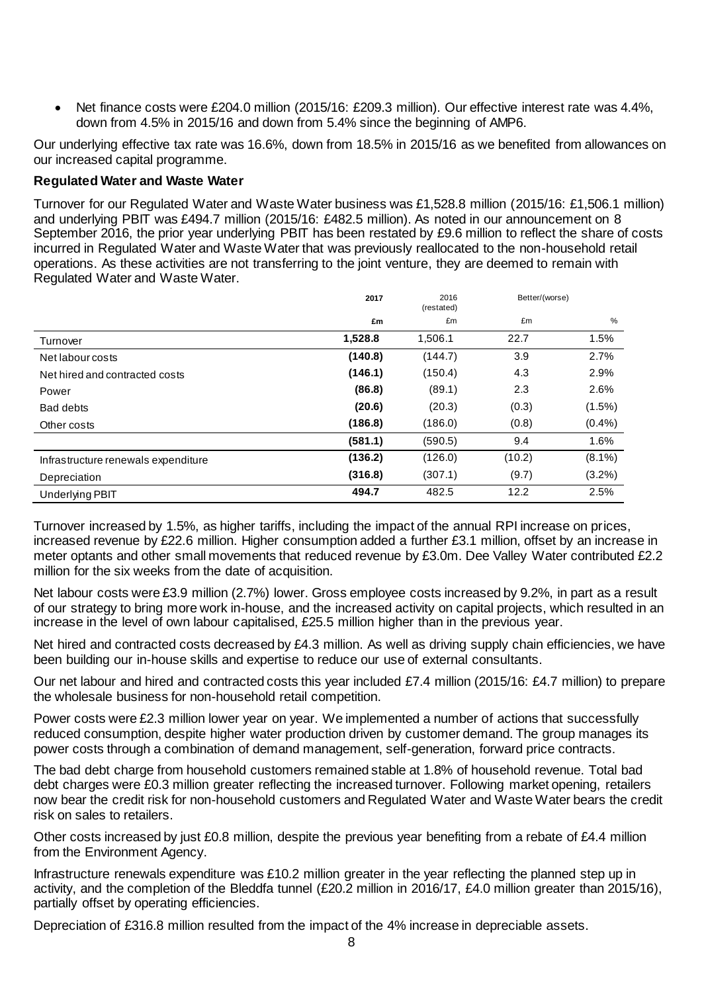Net finance costs were £204.0 million (2015/16: £209.3 million). Our effective interest rate was 4.4%, down from 4.5% in 2015/16 and down from 5.4% since the beginning of AMP6.

Our underlying effective tax rate was 16.6%, down from 18.5% in 2015/16 as we benefited from allowances on our increased capital programme.

## **Regulated Water and Waste Water**

Turnover for our Regulated Water and Waste Water business was £1,528.8 million (2015/16: £1,506.1 million) and underlying PBIT was £494.7 million (2015/16: £482.5 million). As noted in our announcement on 8 September 2016, the prior year underlying PBIT has been restated by £9.6 million to reflect the share of costs incurred in Regulated Water and Waste Water that was previously reallocated to the non-household retail operations. As these activities are not transferring to the joint venture, they are deemed to remain with Regulated Water and Waste Water.

|                                     | 2017    | 2016<br>(restated) | Better/(worse) |               |
|-------------------------------------|---------|--------------------|----------------|---------------|
|                                     | £m      | £m                 | £m             | $\frac{0}{0}$ |
| Turnover                            | 1,528.8 | 1,506.1            | 22.7           | 1.5%          |
| Net labour costs                    | (140.8) | (144.7)            | 3.9            | 2.7%          |
| Net hired and contracted costs      | (146.1) | (150.4)            | 4.3            | 2.9%          |
| Power                               | (86.8)  | (89.1)             | 2.3            | 2.6%          |
| Bad debts                           | (20.6)  | (20.3)             | (0.3)          | $(1.5\%)$     |
| Other costs                         | (186.8) | (186.0)            | (0.8)          | $(0.4\%)$     |
|                                     | (581.1) | (590.5)            | 9.4            | 1.6%          |
| Infrastructure renewals expenditure | (136.2) | (126.0)            | (10.2)         | $(8.1\%)$     |
| Depreciation                        | (316.8) | (307.1)            | (9.7)          | $(3.2\%)$     |
| <b>Underlying PBIT</b>              | 494.7   | 482.5              | 12.2           | 2.5%          |

Turnover increased by 1.5%, as higher tariffs, including the impact of the annual RPI increase on prices, increased revenue by £22.6 million. Higher consumption added a further £3.1 million, offset by an increase in meter optants and other small movements that reduced revenue by £3.0m. Dee Valley Water contributed £2.2 million for the six weeks from the date of acquisition.

Net labour costs were £3.9 million (2.7%) lower. Gross employee costs increased by 9.2%, in part as a result of our strategy to bring more work in-house, and the increased activity on capital projects, which resulted in an increase in the level of own labour capitalised, £25.5 million higher than in the previous year.

Net hired and contracted costs decreased by £4.3 million. As well as driving supply chain efficiencies, we have been building our in-house skills and expertise to reduce our use of external consultants.

Our net labour and hired and contracted costs this year included £7.4 million (2015/16: £4.7 million) to prepare the wholesale business for non-household retail competition.

Power costs were £2.3 million lower year on year. We implemented a number of actions that successfully reduced consumption, despite higher water production driven by customer demand. The group manages its power costs through a combination of demand management, self-generation, forward price contracts.

The bad debt charge from household customers remained stable at 1.8% of household revenue. Total bad debt charges were £0.3 million greater reflecting the increased turnover. Following market opening, retailers now bear the credit risk for non-household customers and Regulated Water and Waste Water bears the credit risk on sales to retailers.

Other costs increased by just £0.8 million, despite the previous year benefiting from a rebate of £4.4 million from the Environment Agency.

Infrastructure renewals expenditure was £10.2 million greater in the year reflecting the planned step up in activity, and the completion of the Bleddfa tunnel (£20.2 million in 2016/17, £4.0 million greater than 2015/16), partially offset by operating efficiencies.

Depreciation of £316.8 million resulted from the impact of the 4% increase in depreciable assets.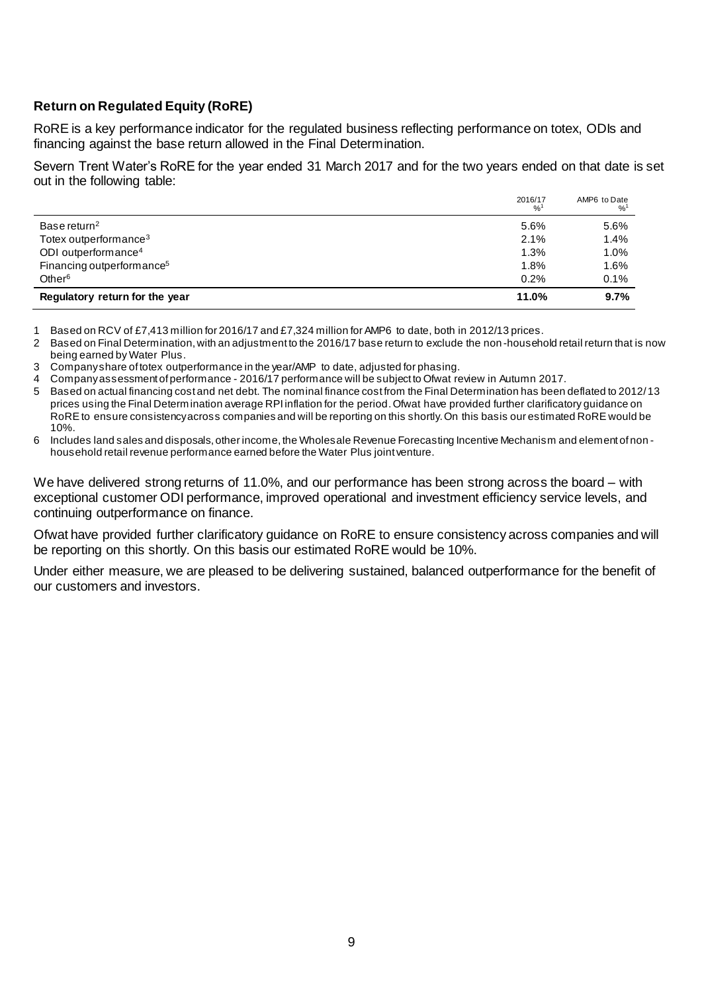# **Return on Regulated Equity (RoRE)**

RoRE is a key performance indicator for the regulated business reflecting performance on totex, ODIs and financing against the base return allowed in the Final Determination.

Severn Trent Water's RoRE for the year ended 31 March 2017 and for the two years ended on that date is set out in the following table:

|                                       | 2016/17<br>% | AMP6 to Date<br>$\frac{9}{6}$ <sup>1</sup> |
|---------------------------------------|--------------|--------------------------------------------|
| Base return <sup>2</sup>              | 5.6%         | 5.6%                                       |
| Totex outperformance <sup>3</sup>     | 2.1%         | 1.4%                                       |
| ODI outperformance <sup>4</sup>       | 1.3%         | 1.0%                                       |
| Financing outperformance <sup>5</sup> | 1.8%         | 1.6%                                       |
| Other <sup>6</sup>                    | 0.2%         | 0.1%                                       |
| Regulatory return for the year        | 11.0%        | 9.7%                                       |

1 Based on RCV of £7,413 million for 2016/17 and £7,324 million for AMP6 to date, both in 2012/13 prices.

2 Based on Final Determination, with an adjustment to the 2016/17 base return to exclude the non -household retail return that is now being earned by Water Plus.

3 Company share of totex outperformance in the year/AMP to date, adjusted for phasing.

4 Companyassessment of performance - 2016/17 performance will be subject to Ofwat review in Autumn 2017.

- 5 Based on actual financing cost and net debt. The nominal finance cost from the Final Determination has been deflated to 2012/13 prices using the Final Determination average RPI inflation for the period. Ofwat have provided further clarificatory guidance on RoRE to ensure consistency across companies and will be reporting on this shortly. On this basis our estimated RoRE would be 10%.
- 6 Includes land sales and disposals, other income, the Wholesale Revenue Forecasting Incentive Mechanism and element of non household retail revenue performance earned before the Water Plus joint venture.

We have delivered strong returns of 11.0%, and our performance has been strong across the board – with exceptional customer ODI performance, improved operational and investment efficiency service levels, and continuing outperformance on finance.

Ofwat have provided further clarificatory guidance on RoRE to ensure consistency across companies and will be reporting on this shortly. On this basis our estimated RoRE would be 10%.

Under either measure, we are pleased to be delivering sustained, balanced outperformance for the benefit of our customers and investors.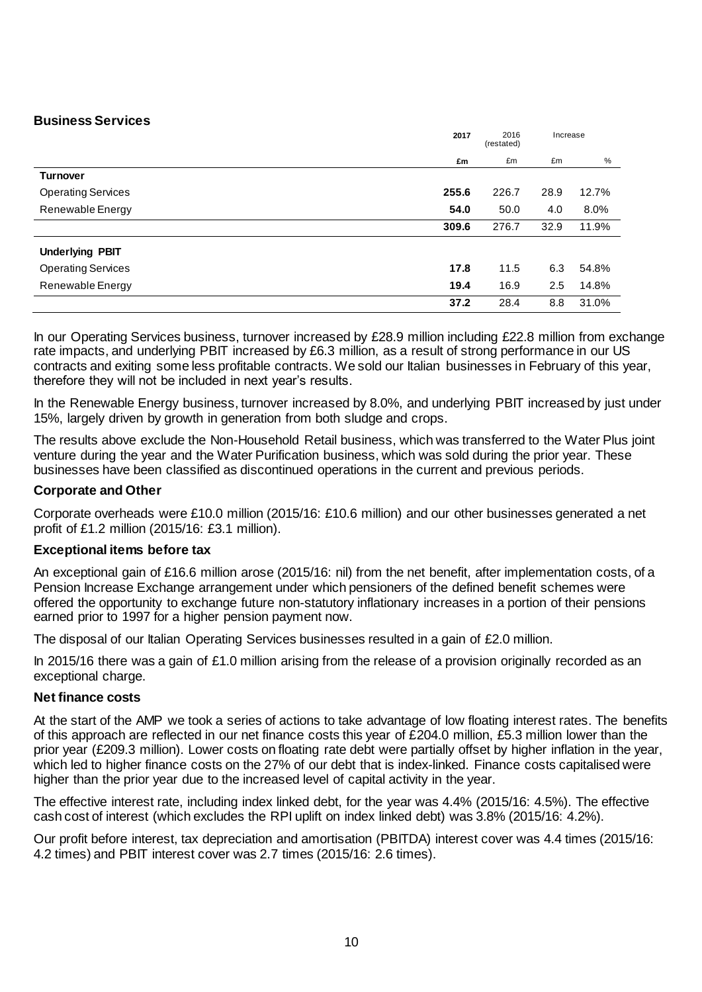## **Business Services**

|                           | 2017  | 2016<br>(restated) | Increase |       |
|---------------------------|-------|--------------------|----------|-------|
|                           | £m    | £m                 | £m       | %     |
| <b>Turnover</b>           |       |                    |          |       |
| <b>Operating Services</b> | 255.6 | 226.7              | 28.9     | 12.7% |
| Renewable Energy          | 54.0  | 50.0               | 4.0      | 8.0%  |
|                           | 309.6 | 276.7              | 32.9     | 11.9% |
| <b>Underlying PBIT</b>    |       |                    |          |       |
| <b>Operating Services</b> | 17.8  | 11.5               | 6.3      | 54.8% |
| Renewable Energy          | 19.4  | 16.9               | 2.5      | 14.8% |
|                           | 37.2  | 28.4               | 8.8      | 31.0% |

In our Operating Services business, turnover increased by £28.9 million including £22.8 million from exchange rate impacts, and underlying PBIT increased by £6.3 million, as a result of strong performance in our US contracts and exiting some less profitable contracts. We sold our Italian businesses in February of this year, therefore they will not be included in next year's results.

In the Renewable Energy business, turnover increased by 8.0%, and underlying PBIT increased by just under 15%, largely driven by growth in generation from both sludge and crops.

The results above exclude the Non-Household Retail business, which was transferred to the Water Plus joint venture during the year and the Water Purification business, which was sold during the prior year. These businesses have been classified as discontinued operations in the current and previous periods.

## **Corporate and Other**

Corporate overheads were £10.0 million (2015/16: £10.6 million) and our other businesses generated a net profit of £1.2 million (2015/16: £3.1 million).

## **Exceptional items before tax**

An exceptional gain of £16.6 million arose (2015/16: nil) from the net benefit, after implementation costs, of a Pension Increase Exchange arrangement under which pensioners of the defined benefit schemes were offered the opportunity to exchange future non-statutory inflationary increases in a portion of their pensions earned prior to 1997 for a higher pension payment now.

The disposal of our Italian Operating Services businesses resulted in a gain of £2.0 million.

In 2015/16 there was a gain of £1.0 million arising from the release of a provision originally recorded as an exceptional charge.

## **Net finance costs**

At the start of the AMP we took a series of actions to take advantage of low floating interest rates. The benefits of this approach are reflected in our net finance costs this year of £204.0 million, £5.3 million lower than the prior year (£209.3 million). Lower costs on floating rate debt were partially offset by higher inflation in the year, which led to higher finance costs on the 27% of our debt that is index-linked. Finance costs capitalised were higher than the prior year due to the increased level of capital activity in the year.

The effective interest rate, including index linked debt, for the year was 4.4% (2015/16: 4.5%). The effective cash cost of interest (which excludes the RPI uplift on index linked debt) was 3.8% (2015/16: 4.2%).

Our profit before interest, tax depreciation and amortisation (PBITDA) interest cover was 4.4 times (2015/16: 4.2 times) and PBIT interest cover was 2.7 times (2015/16: 2.6 times).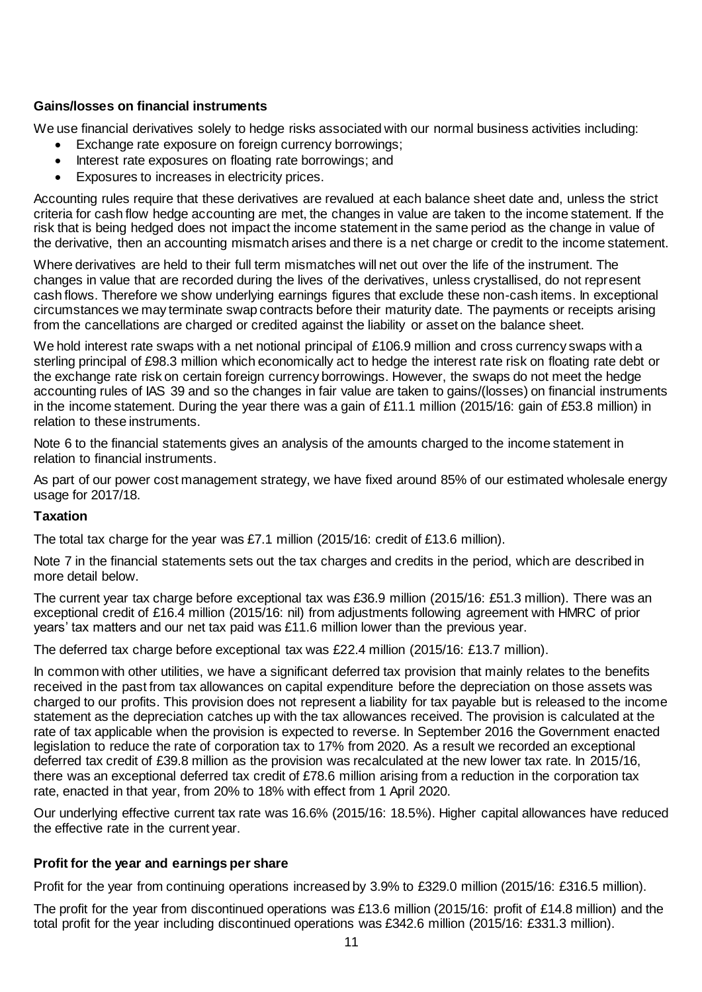# **Gains/losses on financial instruments**

We use financial derivatives solely to hedge risks associated with our normal business activities including:

- **Exchange rate exposure on foreign currency borrowings;**
- Interest rate exposures on floating rate borrowings; and
- Exposures to increases in electricity prices.

Accounting rules require that these derivatives are revalued at each balance sheet date and, unless the strict criteria for cash flow hedge accounting are met, the changes in value are taken to the income statement. If the risk that is being hedged does not impact the income statement in the same period as the change in value of the derivative, then an accounting mismatch arises and there is a net charge or credit to the income statement.

Where derivatives are held to their full term mismatches will net out over the life of the instrument. The changes in value that are recorded during the lives of the derivatives, unless crystallised, do not represent cash flows. Therefore we show underlying earnings figures that exclude these non-cash items. In exceptional circumstances we may terminate swap contracts before their maturity date. The payments or receipts arising from the cancellations are charged or credited against the liability or asset on the balance sheet.

We hold interest rate swaps with a net notional principal of £106.9 million and cross currency swaps with a sterling principal of £98.3 million which economically act to hedge the interest rate risk on floating rate debt or the exchange rate risk on certain foreign currency borrowings. However, the swaps do not meet the hedge accounting rules of IAS 39 and so the changes in fair value are taken to gains/(losses) on financial instruments in the income statement. During the year there was a gain of £11.1 million (2015/16: gain of £53.8 million) in relation to these instruments.

Note 6 to the financial statements gives an analysis of the amounts charged to the income statement in relation to financial instruments.

As part of our power cost management strategy, we have fixed around 85% of our estimated wholesale energy usage for 2017/18.

## **Taxation**

The total tax charge for the year was £7.1 million (2015/16: credit of £13.6 million).

Note 7 in the financial statements sets out the tax charges and credits in the period, which are described in more detail below.

The current year tax charge before exceptional tax was £36.9 million (2015/16: £51.3 million). There was an exceptional credit of £16.4 million (2015/16: nil) from adjustments following agreement with HMRC of prior years' tax matters and our net tax paid was £11.6 million lower than the previous year.

The deferred tax charge before exceptional tax was £22.4 million (2015/16: £13.7 million).

In common with other utilities, we have a significant deferred tax provision that mainly relates to the benefits received in the past from tax allowances on capital expenditure before the depreciation on those assets was charged to our profits. This provision does not represent a liability for tax payable but is released to the income statement as the depreciation catches up with the tax allowances received. The provision is calculated at the rate of tax applicable when the provision is expected to reverse. In September 2016 the Government enacted legislation to reduce the rate of corporation tax to 17% from 2020. As a result we recorded an exceptional deferred tax credit of £39.8 million as the provision was recalculated at the new lower tax rate. In 2015/16, there was an exceptional deferred tax credit of £78.6 million arising from a reduction in the corporation tax rate, enacted in that year, from 20% to 18% with effect from 1 April 2020.

Our underlying effective current tax rate was 16.6% (2015/16: 18.5%). Higher capital allowances have reduced the effective rate in the current year.

## **Profit for the year and earnings per share**

Profit for the year from continuing operations increased by 3.9% to £329.0 million (2015/16: £316.5 million).

The profit for the year from discontinued operations was £13.6 million (2015/16: profit of £14.8 million) and the total profit for the year including discontinued operations was £342.6 million (2015/16: £331.3 million).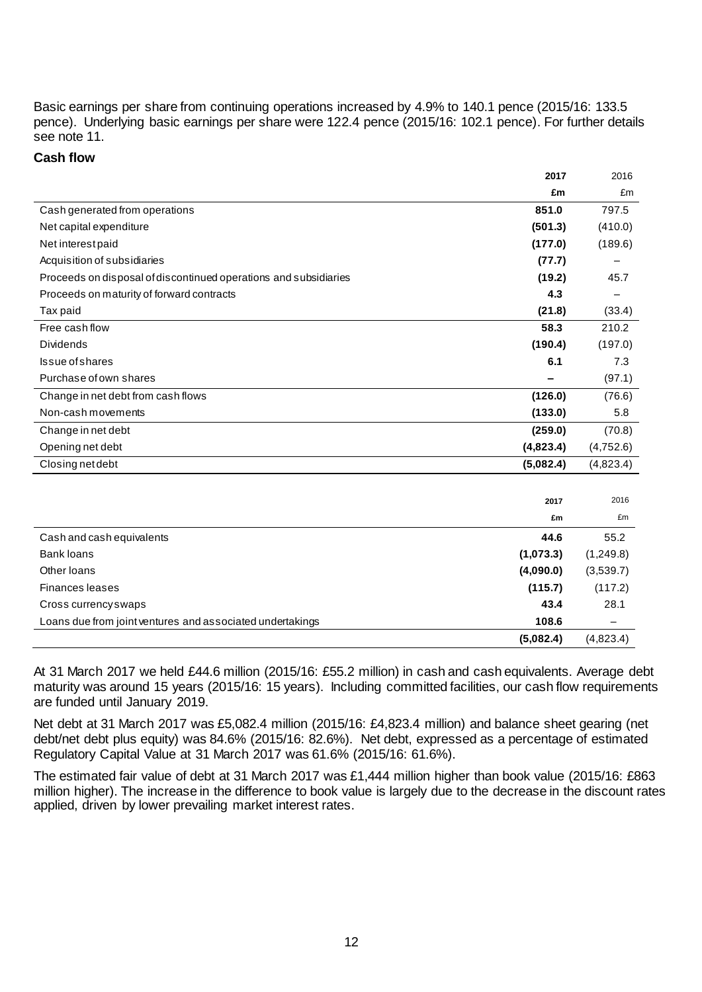Basic earnings per share from continuing operations increased by 4.9% to 140.1 pence (2015/16: 133.5 pence). Underlying basic earnings per share were 122.4 pence (2015/16: 102.1 pence). For further details see note 11.

## **Cash flow**

|                                                                  | 2017      | 2016      |
|------------------------------------------------------------------|-----------|-----------|
|                                                                  | £m        | £m        |
| Cash generated from operations                                   | 851.0     | 797.5     |
| Net capital expenditure                                          | (501.3)   | (410.0)   |
| Net interest paid                                                | (177.0)   | (189.6)   |
| Acquisition of subsidiaries                                      | (77.7)    |           |
| Proceeds on disposal of discontinued operations and subsidiaries | (19.2)    | 45.7      |
| Proceeds on maturity of forward contracts                        | 4.3       |           |
| Tax paid                                                         | (21.8)    | (33.4)    |
| Free cash flow                                                   | 58.3      | 210.2     |
| Dividends                                                        | (190.4)   | (197.0)   |
| Issue of shares                                                  | 6.1       | 7.3       |
| Purchase of own shares                                           |           | (97.1)    |
| Change in net debt from cash flows                               | (126.0)   | (76.6)    |
| Non-cash movements                                               | (133.0)   | 5.8       |
| Change in net debt                                               | (259.0)   | (70.8)    |
| Opening net debt                                                 | (4,823.4) | (4,752.6) |
| Closing net debt                                                 | (5,082.4) | (4,823.4) |
|                                                                  |           |           |
|                                                                  | 2017      | 2016      |
|                                                                  | £m        | £m        |
| Cash and cash equivalents                                        | 44.6      | 55.2      |
| <b>Bank loans</b>                                                | (1,073.3) | (1,249.8) |
| Other Ioans                                                      | (4,090.0) | (3,539.7) |
| Finances leases                                                  | (115.7)   | (117.2)   |
| Cross currency swaps                                             | 43.4      | 28.1      |
| Loans due from joint ventures and associated undertakings        | 108.6     |           |
|                                                                  | (5,082.4) | (4,823.4) |

At 31 March 2017 we held £44.6 million (2015/16: £55.2 million) in cash and cash equivalents. Average debt maturity was around 15 years (2015/16: 15 years). Including committed facilities, our cash flow requirements are funded until January 2019.

Net debt at 31 March 2017 was £5,082.4 million (2015/16: £4,823.4 million) and balance sheet gearing (net debt/net debt plus equity) was 84.6% (2015/16: 82.6%). Net debt, expressed as a percentage of estimated Regulatory Capital Value at 31 March 2017 was 61.6% (2015/16: 61.6%).

The estimated fair value of debt at 31 March 2017 was £1,444 million higher than book value (2015/16: £863 million higher). The increase in the difference to book value is largely due to the decrease in the discount rates applied, driven by lower prevailing market interest rates.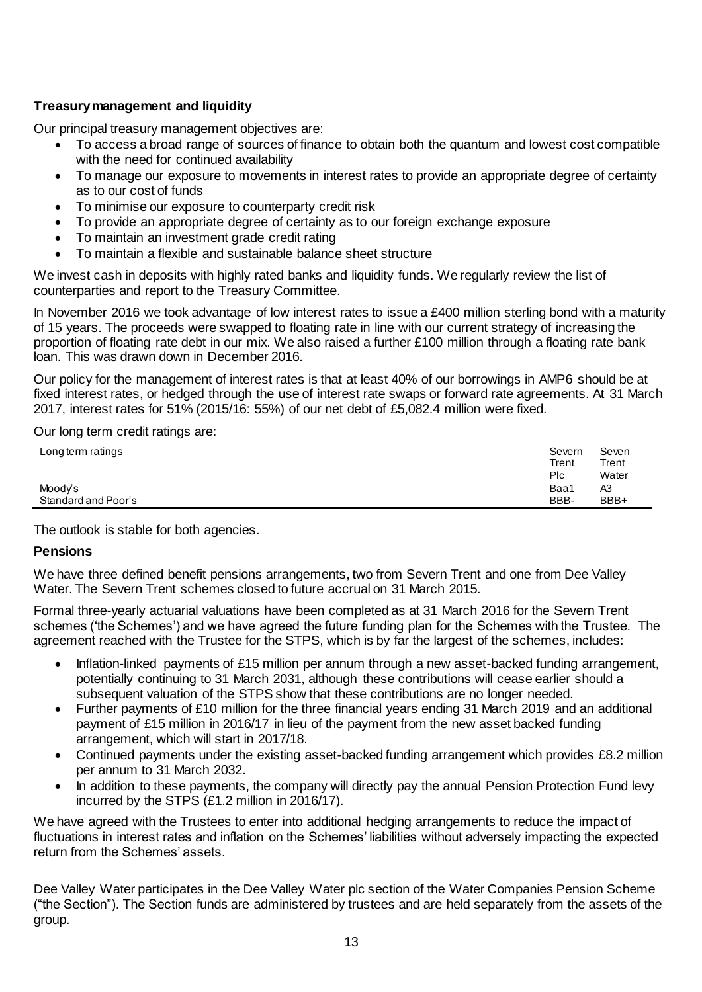# **Treasury management and liquidity**

Our principal treasury management objectives are:

- To access a broad range of sources of finance to obtain both the quantum and lowest cost compatible with the need for continued availability
- To manage our exposure to movements in interest rates to provide an appropriate degree of certainty as to our cost of funds
- To minimise our exposure to counterparty credit risk
- To provide an appropriate degree of certainty as to our foreign exchange exposure
- To maintain an investment grade credit rating
- To maintain a flexible and sustainable balance sheet structure

We invest cash in deposits with highly rated banks and liquidity funds. We regularly review the list of counterparties and report to the Treasury Committee.

In November 2016 we took advantage of low interest rates to issue a £400 million sterling bond with a maturity of 15 years. The proceeds were swapped to floating rate in line with our current strategy of increasing the proportion of floating rate debt in our mix. We also raised a further £100 million through a floating rate bank loan. This was drawn down in December 2016.

Our policy for the management of interest rates is that at least 40% of our borrowings in AMP6 should be at fixed interest rates, or hedged through the use of interest rate swaps or forward rate agreements. At 31 March 2017, interest rates for 51% (2015/16: 55%) of our net debt of £5,082.4 million were fixed.

Our long term credit ratings are:

| Long term ratings   | Severn<br>Trent<br>Plc | Seven<br>Trent<br>Water |
|---------------------|------------------------|-------------------------|
| Moody's             | Baa1                   | A3                      |
| Standard and Poor's | BBB-                   | BBB+                    |

The outlook is stable for both agencies.

## **Pensions**

We have three defined benefit pensions arrangements, two from Severn Trent and one from Dee Valley Water. The Severn Trent schemes closed to future accrual on 31 March 2015.

Formal three-yearly actuarial valuations have been completed as at 31 March 2016 for the Severn Trent schemes ('the Schemes') and we have agreed the future funding plan for the Schemes with the Trustee. The agreement reached with the Trustee for the STPS, which is by far the largest of the schemes, includes:

- Inflation-linked payments of £15 million per annum through a new asset-backed funding arrangement, potentially continuing to 31 March 2031, although these contributions will cease earlier should a subsequent valuation of the STPS show that these contributions are no longer needed.
- Further payments of £10 million for the three financial years ending 31 March 2019 and an additional payment of £15 million in 2016/17 in lieu of the payment from the new asset backed funding arrangement, which will start in 2017/18.
- Continued payments under the existing asset-backed funding arrangement which provides £8.2 million per annum to 31 March 2032.
- In addition to these payments, the company will directly pay the annual Pension Protection Fund levy incurred by the STPS (£1.2 million in 2016/17).

We have agreed with the Trustees to enter into additional hedging arrangements to reduce the impact of fluctuations in interest rates and inflation on the Schemes' liabilities without adversely impacting the expected return from the Schemes' assets.

Dee Valley Water participates in the Dee Valley Water plc section of the Water Companies Pension Scheme ("the Section"). The Section funds are administered by trustees and are held separately from the assets of the group.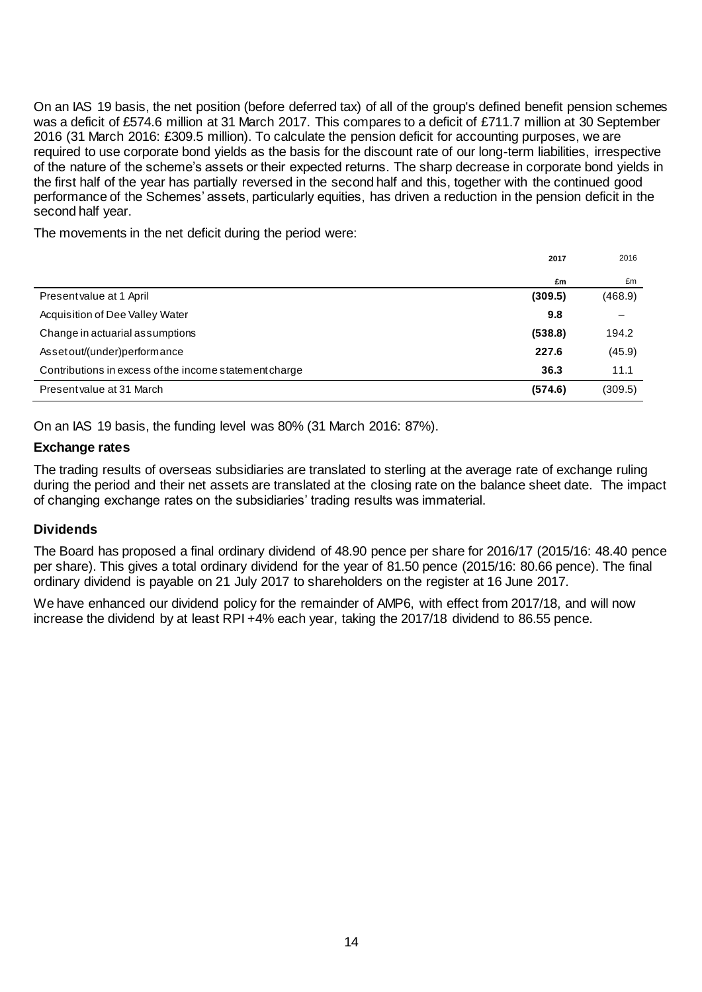On an IAS 19 basis, the net position (before deferred tax) of all of the group's defined benefit pension schemes was a deficit of £574.6 million at 31 March 2017. This compares to a deficit of £711.7 million at 30 September 2016 (31 March 2016: £309.5 million). To calculate the pension deficit for accounting purposes, we are required to use corporate bond yields as the basis for the discount rate of our long-term liabilities, irrespective of the nature of the scheme's assets or their expected returns. The sharp decrease in corporate bond yields in the first half of the year has partially reversed in the second half and this, together with the continued good performance of the Schemes' assets, particularly equities, has driven a reduction in the pension deficit in the second half year.

The movements in the net deficit during the period were:

|                                                        | 2017    | 2016    |
|--------------------------------------------------------|---------|---------|
|                                                        | £m      | £m      |
| Present value at 1 April                               | (309.5) | (468.9) |
| Acquisition of Dee Valley Water                        | 9.8     |         |
| Change in actuarial assumptions                        | (538.8) | 194.2   |
| Asset out/(under)performance                           | 227.6   | (45.9)  |
| Contributions in excess of the income statement charge | 36.3    | 11.1    |
| Present value at 31 March                              | (574.6) | (309.5) |

On an IAS 19 basis, the funding level was 80% (31 March 2016: 87%).

# **Exchange rates**

The trading results of overseas subsidiaries are translated to sterling at the average rate of exchange ruling during the period and their net assets are translated at the closing rate on the balance sheet date. The impact of changing exchange rates on the subsidiaries' trading results was immaterial.

# **Dividends**

The Board has proposed a final ordinary dividend of 48.90 pence per share for 2016/17 (2015/16: 48.40 pence per share). This gives a total ordinary dividend for the year of 81.50 pence (2015/16: 80.66 pence). The final ordinary dividend is payable on 21 July 2017 to shareholders on the register at 16 June 2017.

We have enhanced our dividend policy for the remainder of AMP6, with effect from 2017/18, and will now increase the dividend by at least RPI +4% each year, taking the 2017/18 dividend to 86.55 pence.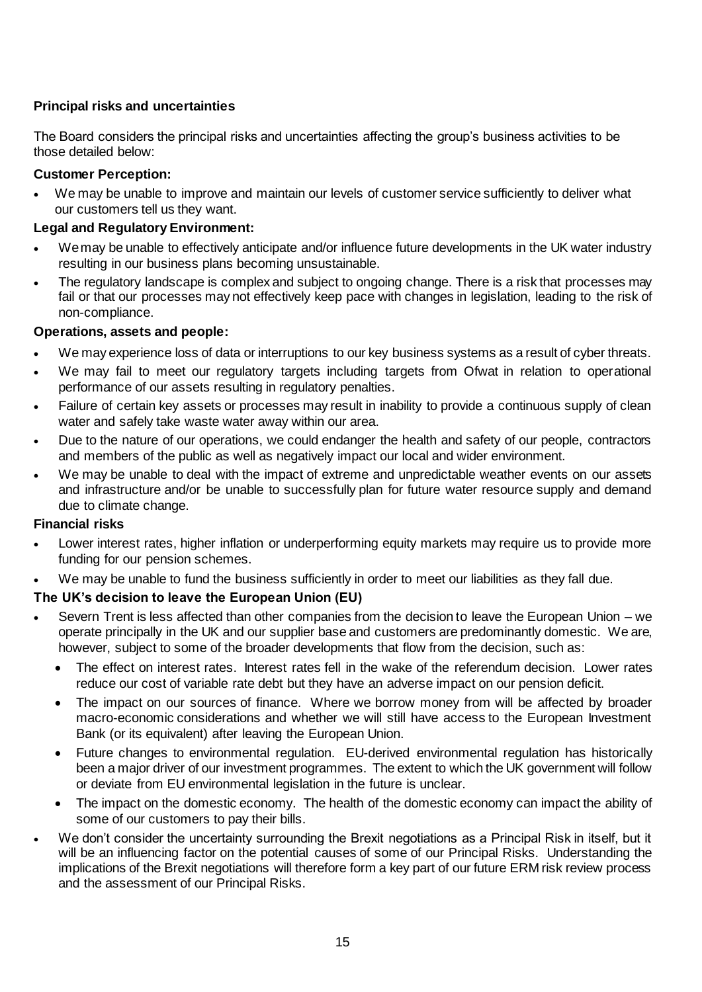# **Principal risks and uncertainties**

The Board considers the principal risks and uncertainties affecting the group's business activities to be those detailed below:

# **Customer Perception:**

 We may be unable to improve and maintain our levels of customer service sufficiently to deliver what our customers tell us they want.

# **Legal and Regulatory Environment:**

- We may be unable to effectively anticipate and/or influence future developments in the UK water industry resulting in our business plans becoming unsustainable.
- The regulatory landscape is complex and subject to ongoing change. There is a risk that processes may fail or that our processes may not effectively keep pace with changes in legislation, leading to the risk of non-compliance.

## **Operations, assets and people:**

- We may experience loss of data or interruptions to our key business systems as a result of cyber threats.
- We may fail to meet our regulatory targets including targets from Ofwat in relation to operational performance of our assets resulting in regulatory penalties.
- Failure of certain key assets or processes may result in inability to provide a continuous supply of clean water and safely take waste water away within our area.
- Due to the nature of our operations, we could endanger the health and safety of our people, contractors and members of the public as well as negatively impact our local and wider environment.
- We may be unable to deal with the impact of extreme and unpredictable weather events on our assets and infrastructure and/or be unable to successfully plan for future water resource supply and demand due to climate change.

## **Financial risks**

- Lower interest rates, higher inflation or underperforming equity markets may require us to provide more funding for our pension schemes.
- We may be unable to fund the business sufficiently in order to meet our liabilities as they fall due.

# **The UK's decision to leave the European Union (EU)**

- Severn Trent is less affected than other companies from the decision to leave the European Union we operate principally in the UK and our supplier base and customers are predominantly domestic. We are, however, subject to some of the broader developments that flow from the decision, such as:
	- The effect on interest rates. Interest rates fell in the wake of the referendum decision. Lower rates reduce our cost of variable rate debt but they have an adverse impact on our pension deficit.
	- The impact on our sources of finance. Where we borrow money from will be affected by broader macro-economic considerations and whether we will still have access to the European Investment Bank (or its equivalent) after leaving the European Union.
	- Future changes to environmental regulation. EU-derived environmental regulation has historically been a major driver of our investment programmes. The extent to which the UK government will follow or deviate from EU environmental legislation in the future is unclear.
	- The impact on the domestic economy. The health of the domestic economy can impact the ability of some of our customers to pay their bills.
- We don't consider the uncertainty surrounding the Brexit negotiations as a Principal Risk in itself, but it will be an influencing factor on the potential causes of some of our Principal Risks. Understanding the implications of the Brexit negotiations will therefore form a key part of our future ERM risk review process and the assessment of our Principal Risks.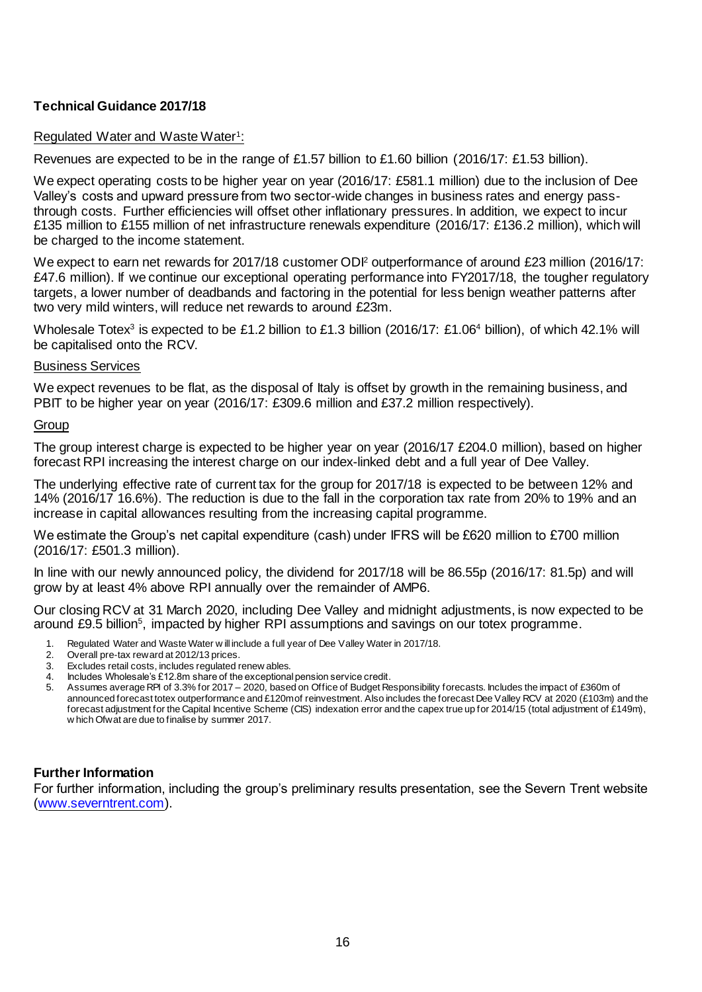# **Technical Guidance 2017/18**

# Regulated Water and Waste Water<sup>1</sup>:

Revenues are expected to be in the range of £1.57 billion to £1.60 billion (2016/17: £1.53 billion).

We expect operating costs to be higher year on year (2016/17: £581.1 million) due to the inclusion of Dee Valley's costs and upward pressure from two sector-wide changes in business rates and energy passthrough costs. Further efficiencies will offset other inflationary pressures. In addition, we expect to incur £135 million to £155 million of net infrastructure renewals expenditure (2016/17: £136.2 million), which will be charged to the income statement.

We expect to earn net rewards for 2017/18 customer ODI<sup>2</sup> outperformance of around £23 million (2016/17: £47.6 million). If we continue our exceptional operating performance into FY2017/18, the tougher regulatory targets, a lower number of deadbands and factoring in the potential for less benign weather patterns after two very mild winters, will reduce net rewards to around £23m.

Wholesale Totex<sup>3</sup> is expected to be £1.2 billion to £1.3 billion (2016/17: £1.06<sup>4</sup> billion), of which 42.1% will be capitalised onto the RCV.

## Business Services

We expect revenues to be flat, as the disposal of Italy is offset by growth in the remaining business, and PBIT to be higher year on year (2016/17: £309.6 million and £37.2 million respectively).

## **Group**

The group interest charge is expected to be higher year on year (2016/17 £204.0 million), based on higher forecast RPI increasing the interest charge on our index-linked debt and a full year of Dee Valley.

The underlying effective rate of current tax for the group for 2017/18 is expected to be between 12% and 14% (2016/17 16.6%). The reduction is due to the fall in the corporation tax rate from 20% to 19% and an increase in capital allowances resulting from the increasing capital programme.

We estimate the Group's net capital expenditure (cash) under IFRS will be £620 million to £700 million (2016/17: £501.3 million).

In line with our newly announced policy, the dividend for 2017/18 will be 86.55p (2016/17: 81.5p) and will grow by at least 4% above RPI annually over the remainder of AMP6.

Our closing RCV at 31 March 2020, including Dee Valley and midnight adjustments, is now expected to be around £9.5 billion<sup>5</sup>, impacted by higher RPI assumptions and savings on our totex programme.

- 1. Regulated Water and Waste Water w ill include a full year of Dee Valley Water in 2017/18.
- 2. Overall pre-tax reward at 2012/13 prices.<br>3. Excludes retail costs, includes regulated r
- 3. Excludes retail costs, includes regulated renew ables.
- 4. Includes Wholesale's £12.8m share of the exceptional pension service credit.<br>5. Assumes average RPI of 3.3% for 2017 2020, based on Office of Budget Re
- 5. Assumes average RPI of 3.3% for 2017 2020, based on Office of Budget Responsibility forecasts. Includes the impact of £360m of announced forecast totex outperformance and £120m of reinvestment. Also includes the forecast Dee Valley RCV at 2020 (£103m) and the forecast adjustment for the Capital Incentive Scheme (CIS) indexation error and the capex true up for 2014/15 (total adjustment of £149m), w hich Ofwat are due to finalise by summer 2017.

# **Further Information**

For further information, including the group's preliminary results presentation, see the Severn Trent website [\(www.severntrent.com\)](http://www.severntrent.com/).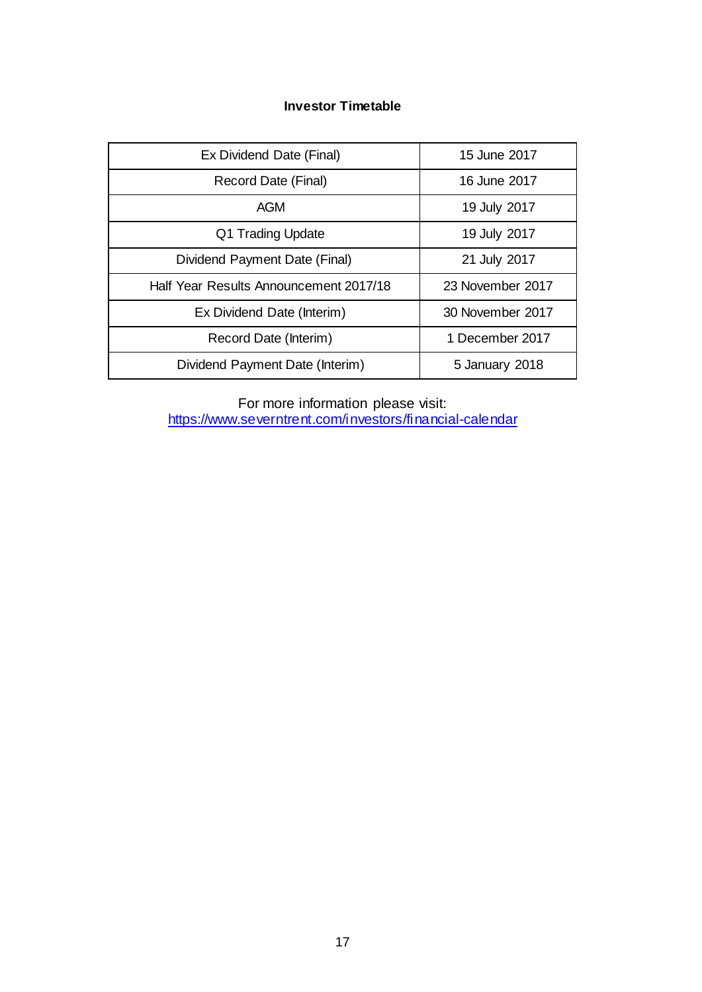# **Investor Timetable**

| Ex Dividend Date (Final)               | 15 June 2017     |
|----------------------------------------|------------------|
| Record Date (Final)                    | 16 June 2017     |
| <b>AGM</b>                             | 19 July 2017     |
| Q1 Trading Update                      | 19 July 2017     |
| Dividend Payment Date (Final)          | 21 July 2017     |
| Half Year Results Announcement 2017/18 | 23 November 2017 |
| Ex Dividend Date (Interim)             | 30 November 2017 |
| Record Date (Interim)                  | 1 December 2017  |
| Dividend Payment Date (Interim)        | 5 January 2018   |

For more information please visit: <https://www.severntrent.com/investors/financial-calendar>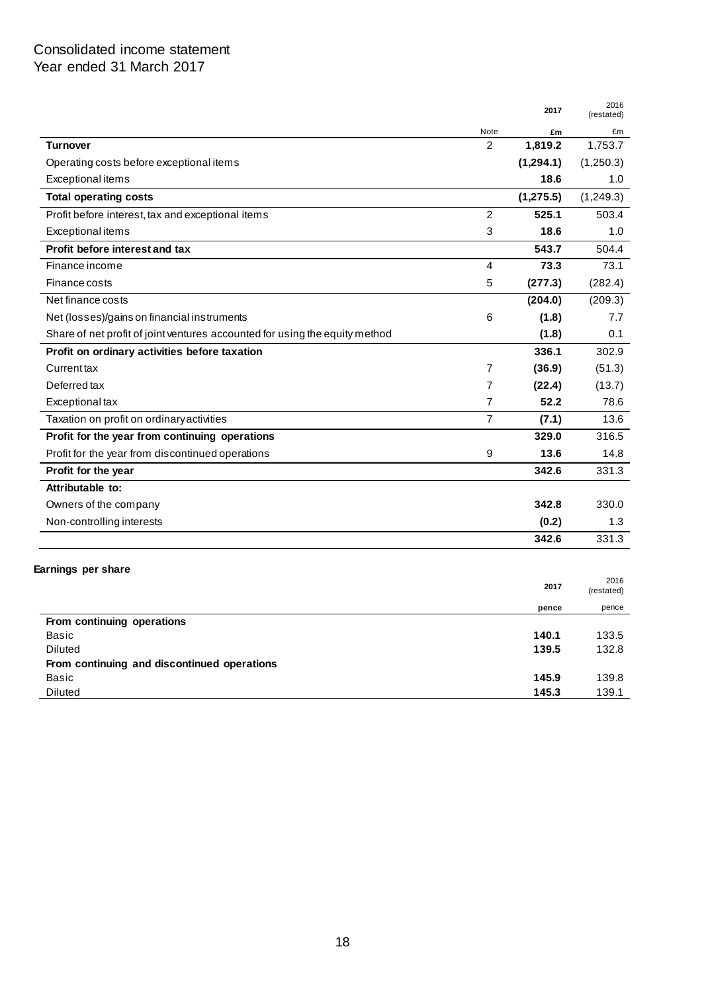# Consolidated income statement Year ended 31 March 2017

|                                                                             |                | 2017       | 2016<br>(restated) |
|-----------------------------------------------------------------------------|----------------|------------|--------------------|
|                                                                             | Note           | £m         | £m                 |
| <b>Turnover</b>                                                             | $\overline{2}$ | 1,819.2    | 1,753.7            |
| Operating costs before exceptional items                                    |                | (1, 294.1) | (1,250.3)          |
| Exceptional items                                                           |                | 18.6       | 1.0                |
| <b>Total operating costs</b>                                                |                | (1, 275.5) | (1,249.3)          |
| Profit before interest, tax and exceptional items                           | $\overline{c}$ | 525.1      | 503.4              |
| Exceptional items                                                           | 3              | 18.6       | 1.0                |
| <b>Profit before interest and tax</b>                                       |                | 543.7      | 504.4              |
| Finance income                                                              | 4              | 73.3       | 73.1               |
| Finance costs                                                               | 5              | (277.3)    | (282.4)            |
| Net finance costs                                                           |                | (204.0)    | (209.3)            |
| Net (losses)/gains on financial instruments                                 | 6              | (1.8)      | 7.7                |
| Share of net profit of joint ventures accounted for using the equity method |                | (1.8)      | 0.1                |
| Profit on ordinary activities before taxation                               |                | 336.1      | 302.9              |
| Currenttax                                                                  | 7              | (36.9)     | (51.3)             |
| Deferred tax                                                                | $\overline{7}$ | (22.4)     | (13.7)             |
| Exceptional tax                                                             | 7              | 52.2       | 78.6               |
| Taxation on profit on ordinary activities                                   | $\overline{7}$ | (7.1)      | 13.6               |
| Profit for the year from continuing operations                              |                | 329.0      | 316.5              |
| Profit for the year from discontinued operations                            | 9              | 13.6       | 14.8               |
| Profit for the year                                                         |                | 342.6      | 331.3              |
| Attributable to:                                                            |                |            |                    |
| Owners of the company                                                       |                | 342.8      | 330.0              |
| Non-controlling interests                                                   |                | (0.2)      | 1.3                |
|                                                                             |                | 342.6      | 331.3              |
|                                                                             |                |            |                    |
| Earnings per share                                                          |                |            | 2016               |
|                                                                             |                | 2017       | (restated)         |
|                                                                             |                | pence      | pence              |
| From continuing operations                                                  |                |            |                    |
| Basic                                                                       |                | 140.1      | 133.5              |
| <b>Diluted</b><br>From continuing and discontinued operations               |                | 139.5      | 132.8              |
| Basic                                                                       |                | 145.9      | 139.8              |
| <b>Diluted</b>                                                              |                | 145.3      | 139.1              |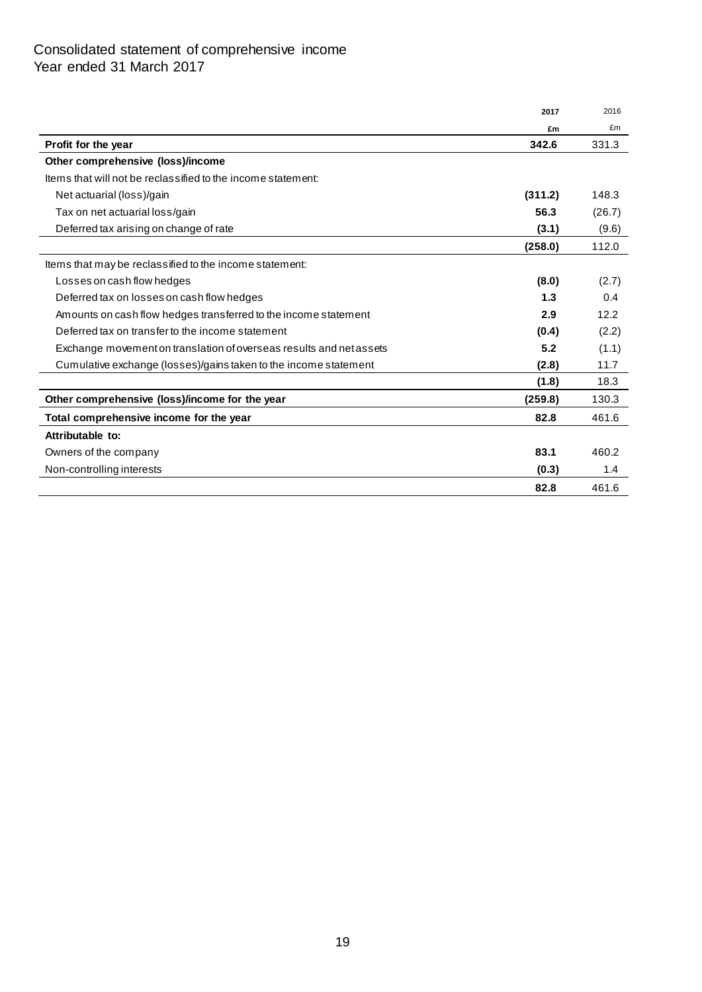# Consolidated statement of comprehensive income Year ended 31 March 2017

|                                                                     | 2017    | 2016   |
|---------------------------------------------------------------------|---------|--------|
|                                                                     | £m      | £m     |
| Profit for the year                                                 | 342.6   | 331.3  |
| Other comprehensive (loss)/income                                   |         |        |
| Items that will not be reclassified to the income statement:        |         |        |
| Net actuarial (loss)/gain                                           | (311.2) | 148.3  |
| Tax on net actuarial loss/gain                                      | 56.3    | (26.7) |
| Deferred tax arising on change of rate                              | (3.1)   | (9.6)  |
|                                                                     | (258.0) | 112.0  |
| Items that may be reclassified to the income statement:             |         |        |
| Losses on cash flow hedges                                          | (8.0)   | (2.7)  |
| Deferred tax on losses on cash flow hedges                          | 1.3     | 0.4    |
| Amounts on cash flow hedges transferred to the income statement     | 2.9     | 12.2   |
| Deferred tax on transfer to the income statement                    | (0.4)   | (2.2)  |
| Exchange movement on translation of overseas results and net assets | 5.2     | (1.1)  |
| Cumulative exchange (losses)/gains taken to the income statement    | (2.8)   | 11.7   |
|                                                                     | (1.8)   | 18.3   |
| Other comprehensive (loss)/income for the year                      | (259.8) | 130.3  |
| Total comprehensive income for the year                             | 82.8    | 461.6  |
| Attributable to:                                                    |         |        |
| Owners of the company                                               | 83.1    | 460.2  |
| Non-controlling interests                                           | (0.3)   | 1.4    |
|                                                                     | 82.8    | 461.6  |
|                                                                     |         |        |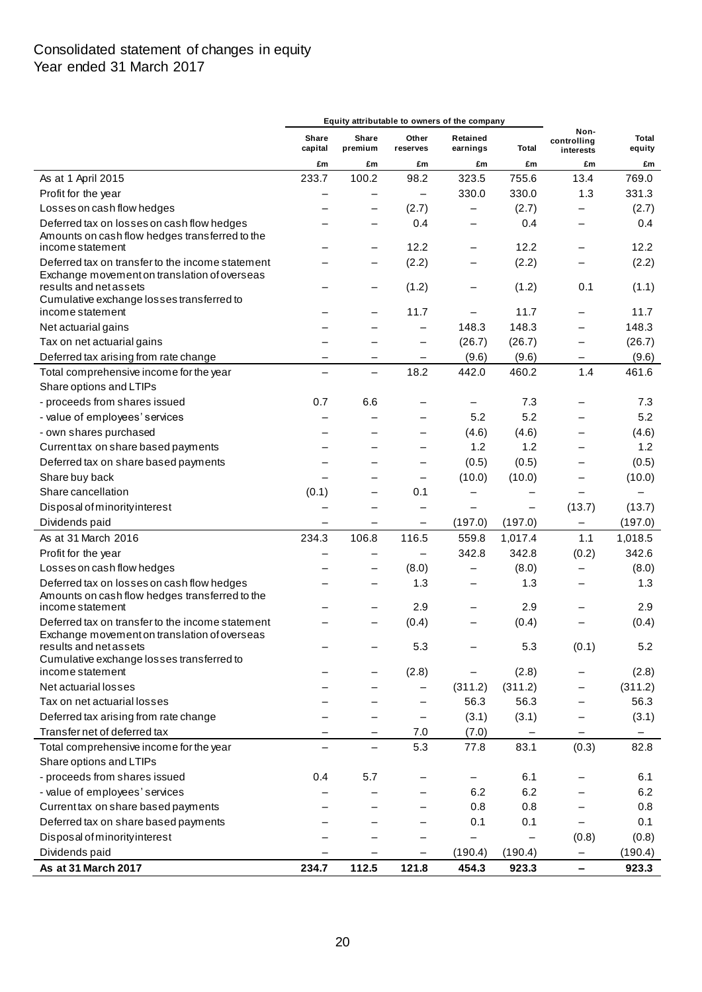# Consolidated statement of changes in equity Year ended 31 March 2017

|                                                                                                  |                          |                          |                          | Equity attributable to owners of the company |                          |                                  |                 |
|--------------------------------------------------------------------------------------------------|--------------------------|--------------------------|--------------------------|----------------------------------------------|--------------------------|----------------------------------|-----------------|
|                                                                                                  | Share<br>capital         | Share<br>premium         | Other<br>reserves        | Retained<br>earnings                         | Total                    | Non-<br>controlling<br>interests | Total<br>equity |
|                                                                                                  | £m                       | £m                       | £m                       | £m                                           | £m                       | £m                               | £m              |
| As at 1 April 2015                                                                               | 233.7                    | 100.2                    | 98.2                     | 323.5                                        | 755.6                    | 13.4                             | 769.0           |
| Profit for the year                                                                              |                          |                          | $\overline{\phantom{0}}$ | 330.0                                        | 330.0                    | 1.3                              | 331.3           |
| Losses on cash flow hedges                                                                       |                          |                          | (2.7)                    |                                              | (2.7)                    |                                  | (2.7)           |
| Deferred tax on losses on cash flow hedges                                                       |                          |                          | 0.4                      |                                              | 0.4                      | $\overline{\phantom{0}}$         | 0.4             |
| Amounts on cash flow hedges transferred to the                                                   |                          |                          |                          |                                              |                          |                                  |                 |
| income statement                                                                                 |                          |                          | 12.2                     |                                              | 12.2                     | —                                | 12.2            |
| Deferred tax on transfer to the income statement<br>Exchange movement on translation of overseas |                          |                          | (2.2)                    |                                              | (2.2)                    |                                  | (2.2)           |
| results and net assets                                                                           |                          |                          | (1.2)                    |                                              | (1.2)                    | 0.1                              | (1.1)           |
| Cumulative exchange losses transferred to                                                        |                          |                          |                          |                                              |                          |                                  |                 |
| income statement                                                                                 |                          |                          | 11.7                     |                                              | 11.7                     |                                  | 11.7            |
| Net actuarial gains                                                                              |                          |                          | $\overline{\phantom{0}}$ | 148.3                                        | 148.3                    |                                  | 148.3           |
| Tax on net actuarial gains                                                                       |                          |                          | $\overline{\phantom{0}}$ | (26.7)                                       | (26.7)                   |                                  | (26.7)          |
| Deferred tax arising from rate change                                                            | —                        | -                        | —                        | (9.6)                                        | (9.6)                    | —                                | (9.6)           |
| Total comprehensive income for the year                                                          |                          | $\equiv$                 | 18.2                     | 442.0                                        | 460.2                    | 1.4                              | 461.6           |
| Share options and LTIPs                                                                          |                          |                          |                          |                                              |                          |                                  |                 |
| - proceeds from shares issued                                                                    | 0.7                      | 6.6                      |                          | -                                            | 7.3                      |                                  | 7.3             |
| - value of employees' services                                                                   |                          |                          |                          | 5.2                                          | 5.2                      |                                  | 5.2             |
| - own shares purchased                                                                           |                          |                          |                          | (4.6)                                        | (4.6)                    |                                  | (4.6)           |
| Current tax on share based payments                                                              |                          |                          |                          | 1.2                                          | 1.2                      |                                  | 1.2             |
| Deferred tax on share based payments                                                             |                          |                          |                          | (0.5)                                        | (0.5)                    |                                  | (0.5)           |
| Share buy back                                                                                   |                          |                          | $\overline{\phantom{0}}$ | (10.0)                                       | (10.0)                   | —                                | (10.0)          |
| Share cancellation                                                                               | (0.1)                    |                          | 0.1                      |                                              |                          |                                  |                 |
| Disposal of minority interest                                                                    |                          |                          |                          | $\overline{\phantom{0}}$                     | $\overline{\phantom{0}}$ | (13.7)                           | (13.7)          |
| Dividends paid                                                                                   | $\overline{\phantom{m}}$ | -                        | -                        | (197.0)                                      | (197.0)                  | -                                | (197.0)         |
| As at 31 March 2016                                                                              | 234.3                    | 106.8                    | 116.5                    | 559.8                                        | 1,017.4                  | 1.1                              | 1,018.5         |
| Profit for the year                                                                              |                          | —                        | $\overline{\phantom{0}}$ | 342.8                                        | 342.8                    | (0.2)                            | 342.6           |
|                                                                                                  |                          |                          |                          |                                              |                          |                                  |                 |
| Losses on cash flow hedges                                                                       |                          | -                        | (8.0)                    | -                                            | (8.0)                    |                                  | (8.0)           |
| Deferred tax on losses on cash flow hedges<br>Amounts on cash flow hedges transferred to the     |                          |                          | 1.3                      | —                                            | 1.3                      |                                  | 1.3             |
| income statement                                                                                 |                          |                          | 2.9                      |                                              | 2.9                      |                                  | 2.9             |
| Deferred tax on transfer to the income statement                                                 |                          |                          | (0.4)                    |                                              | (0.4)                    |                                  | (0.4)           |
| Exchange movement on translation of overseas                                                     |                          |                          |                          |                                              |                          |                                  |                 |
| results and net assets                                                                           |                          |                          | 5.3                      |                                              | 5.3                      | (0.1)                            | $5.2\,$         |
| Cumulative exchange losses transferred to                                                        |                          |                          |                          |                                              |                          |                                  |                 |
| income statement                                                                                 |                          |                          | (2.8)                    | -                                            | (2.8)                    |                                  | (2.8)           |
| Net actuarial losses                                                                             |                          |                          | $\overline{\phantom{0}}$ | (311.2)                                      | (311.2)                  | —                                | (311.2)         |
| Tax on net actuarial losses                                                                      |                          |                          | $\overline{\phantom{0}}$ | 56.3                                         | 56.3                     | —                                | 56.3            |
| Deferred tax arising from rate change                                                            |                          |                          | $\overline{\phantom{0}}$ | (3.1)                                        | (3.1)                    |                                  | (3.1)           |
| Transfer net of deferred tax                                                                     |                          | -                        | 7.0                      | (7.0)                                        | $\qquad \qquad -$        | -                                | -               |
| Total comprehensive income for the year                                                          |                          | $\overline{\phantom{0}}$ | 5.3                      | 77.8                                         | 83.1                     | (0.3)                            | 82.8            |
| Share options and LTIPs                                                                          |                          |                          |                          |                                              |                          |                                  |                 |
| - proceeds from shares issued                                                                    | 0.4                      | 5.7                      |                          | —                                            | 6.1                      | —                                | 6.1             |
| - value of employees' services                                                                   |                          |                          |                          | 6.2                                          | 6.2                      |                                  | 6.2             |
| Current tax on share based payments                                                              |                          |                          |                          | 0.8                                          | 0.8                      |                                  | 0.8             |
| Deferred tax on share based payments                                                             |                          |                          |                          | 0.1                                          | 0.1                      | $\overline{\phantom{0}}$         | 0.1             |
| Disposal of minority interest                                                                    |                          |                          |                          | —                                            |                          | (0.8)                            | (0.8)           |
| Dividends paid                                                                                   |                          |                          |                          | (190.4)                                      | (190.4)                  | —                                | (190.4)         |
| As at 31 March 2017                                                                              | 234.7                    | 112.5                    | 121.8                    | 454.3                                        | 923.3                    | -                                | 923.3           |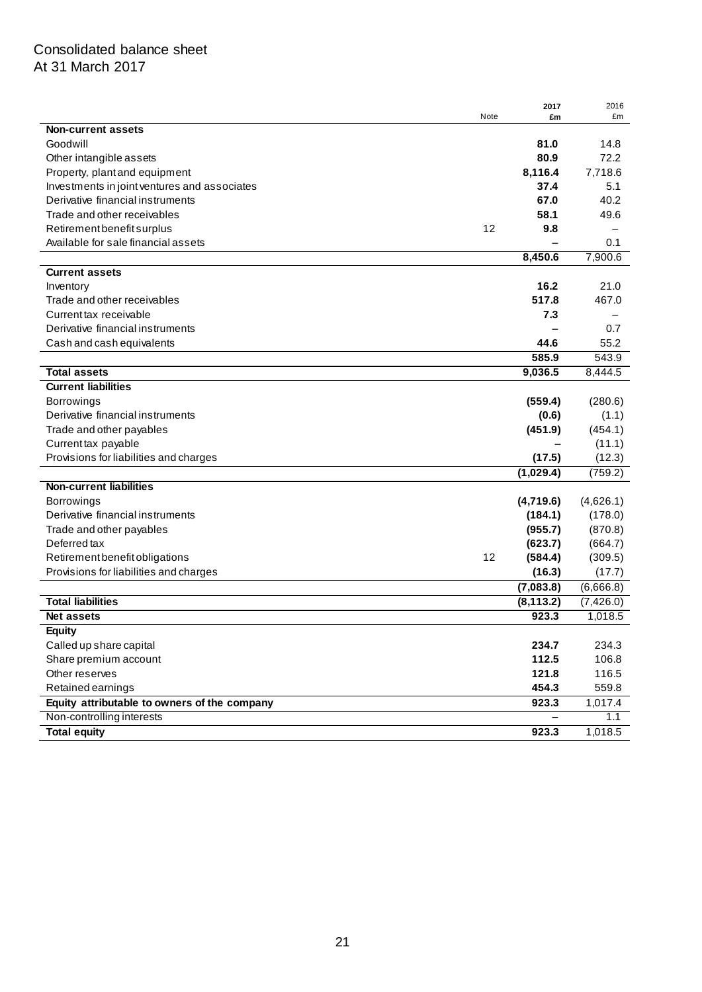# Consolidated balance sheet At 31 March 2017

|                                              |      | 2017       | 2016                   |
|----------------------------------------------|------|------------|------------------------|
|                                              | Note | £m         | £m                     |
| <b>Non-current assets</b>                    |      |            |                        |
| Goodwill                                     |      | 81.0       | 14.8                   |
| Other intangible assets                      |      | 80.9       | 72.2                   |
| Property, plant and equipment                |      | 8,116.4    | 7,718.6                |
| Investments in joint ventures and associates |      | 37.4       | 5.1                    |
| Derivative financial instruments             |      | 67.0       | 40.2                   |
| Trade and other receivables                  |      | 58.1       | 49.6                   |
| Retirement benefit surplus                   | 12   | 9.8        |                        |
| Available for sale financial assets          |      |            | 0.1                    |
|                                              |      | 8,450.6    | 7,900.6                |
| <b>Current assets</b>                        |      |            |                        |
| Inventory                                    |      | 16.2       | 21.0                   |
| Trade and other receivables                  |      | 517.8      | 467.0                  |
| Current tax receivable                       |      | 7.3        |                        |
| Derivative financial instruments             |      |            | 0.7                    |
| Cash and cash equivalents                    |      | 44.6       | 55.2                   |
|                                              |      | 585.9      | 543.9                  |
| <b>Total assets</b>                          |      | 9,036.5    | 8,444.5                |
| <b>Current liabilities</b>                   |      |            |                        |
| <b>Borrowings</b>                            |      | (559.4)    | (280.6)                |
| Derivative financial instruments             |      | (0.6)      | (1.1)                  |
| Trade and other payables                     |      | (451.9)    | (454.1)                |
| Current tax payable                          |      |            | (11.1)                 |
| Provisions for liabilities and charges       |      | (17.5)     | (12.3)                 |
|                                              |      | (1,029.4)  | (759.2)                |
| <b>Non-current liabilities</b>               |      |            |                        |
| <b>Borrowings</b>                            |      | (4,719.6)  | (4,626.1)              |
| Derivative financial instruments             |      | (184.1)    | (178.0)                |
| Trade and other payables                     |      | (955.7)    | (870.8)                |
| Deferred tax                                 |      | (623.7)    | (664.7)                |
| Retirement benefit obligations               | 12   | (584.4)    | (309.5)                |
| Provisions for liabilities and charges       |      | (16.3)     | (17.7)                 |
|                                              |      | (7,083.8)  | $(6,666.\overline{8})$ |
| <b>Total liabilities</b>                     |      | (8, 113.2) | (7,426.0)              |
| <b>Net assets</b>                            |      | 923.3      | 1,018.5                |
| <b>Equity</b>                                |      |            |                        |
| Called up share capital                      |      | 234.7      | 234.3                  |
| Share premium account                        |      | 112.5      | 106.8                  |
| Other reserves                               |      | 121.8      | 116.5                  |
| Retained earnings                            |      | 454.3      | 559.8                  |
|                                              |      |            |                        |
| Equity attributable to owners of the company |      | 923.3      | 1,017.4                |
| Non-controlling interests                    |      |            | 1.1                    |
| <b>Total equity</b>                          |      | 923.3      | 1,018.5                |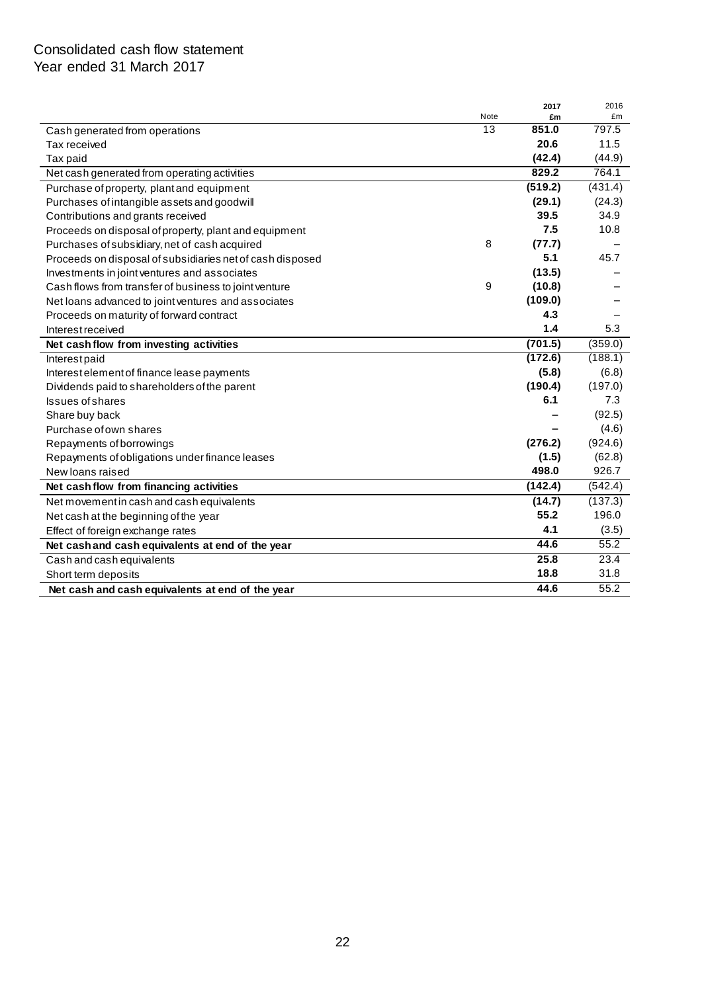# Consolidated cash flow statement Year ended 31 March 2017

| 13<br>851.0<br>797.5<br>Cash generated from operations<br>20.6<br>11.5<br>Tax received<br>(42.4)<br>(44.9)<br>Tax paid<br>829.2<br>764.1<br>Net cash generated from operating activities<br>(519.2)<br>(431.4)<br>Purchase of property, plant and equipment<br>(29.1)<br>(24.3)<br>Purchases of intangible assets and goodwill<br>39.5<br>34.9<br>Contributions and grants received<br>7.5<br>10.8<br>Proceeds on disposal of property, plant and equipment<br>8<br>(77.7)<br>Purchases of subsidiary, net of cash acquired<br>45.7<br>5.1<br>Proceeds on disposal of subsidiaries net of cash disposed<br>(13.5)<br>Investments in joint ventures and associates<br>9<br>(10.8)<br>Cash flows from transfer of business to joint venture<br>(109.0)<br>Net loans advanced to joint ventures and associates<br>4.3<br>Proceeds on maturity of forward contract<br>1.4<br>5.3<br><b>Interest received</b><br>(701.5)<br>(359.0)<br>Net cash flow from investing activities<br>(172.6)<br>(188.1)<br>Interestpaid<br>(5.8)<br>(6.8)<br>Interest element of finance lease payments<br>(190.4)<br>(197.0)<br>Dividends paid to shareholders of the parent<br>7.3<br>6.1<br><b>Issues of shares</b><br>(92.5)<br>Share buy back<br>(4.6)<br>Purchase of own shares<br>(924.6)<br>(276.2)<br>Repayments of borrowings<br>(62.8)<br>(1.5)<br>Repayments of obligations under finance leases<br>498.0<br>926.7<br>New loans raised<br>(142.4)<br>(542.4)<br>Net cash flow from financing activities<br>(14.7)<br>(137.3)<br>Net movement in cash and cash equivalents<br>55.2<br>196.0<br>Net cash at the beginning of the year<br>4.1<br>(3.5)<br>Effect of foreign exchange rates<br>55.2<br>44.6<br>Net cash and cash equivalents at end of the year<br>25.8<br>23.4<br>Cash and cash equivalents<br>18.8<br>31.8<br>Short term deposits<br>55.2<br>44.6<br>Net cash and cash equivalents at end of the year |      | 2017 | 2016 |
|---------------------------------------------------------------------------------------------------------------------------------------------------------------------------------------------------------------------------------------------------------------------------------------------------------------------------------------------------------------------------------------------------------------------------------------------------------------------------------------------------------------------------------------------------------------------------------------------------------------------------------------------------------------------------------------------------------------------------------------------------------------------------------------------------------------------------------------------------------------------------------------------------------------------------------------------------------------------------------------------------------------------------------------------------------------------------------------------------------------------------------------------------------------------------------------------------------------------------------------------------------------------------------------------------------------------------------------------------------------------------------------------------------------------------------------------------------------------------------------------------------------------------------------------------------------------------------------------------------------------------------------------------------------------------------------------------------------------------------------------------------------------------------------------------------------------------------------------------------------------------------------------------------|------|------|------|
|                                                                                                                                                                                                                                                                                                                                                                                                                                                                                                                                                                                                                                                                                                                                                                                                                                                                                                                                                                                                                                                                                                                                                                                                                                                                                                                                                                                                                                                                                                                                                                                                                                                                                                                                                                                                                                                                                                         | Note | £m   | £m   |
|                                                                                                                                                                                                                                                                                                                                                                                                                                                                                                                                                                                                                                                                                                                                                                                                                                                                                                                                                                                                                                                                                                                                                                                                                                                                                                                                                                                                                                                                                                                                                                                                                                                                                                                                                                                                                                                                                                         |      |      |      |
|                                                                                                                                                                                                                                                                                                                                                                                                                                                                                                                                                                                                                                                                                                                                                                                                                                                                                                                                                                                                                                                                                                                                                                                                                                                                                                                                                                                                                                                                                                                                                                                                                                                                                                                                                                                                                                                                                                         |      |      |      |
|                                                                                                                                                                                                                                                                                                                                                                                                                                                                                                                                                                                                                                                                                                                                                                                                                                                                                                                                                                                                                                                                                                                                                                                                                                                                                                                                                                                                                                                                                                                                                                                                                                                                                                                                                                                                                                                                                                         |      |      |      |
|                                                                                                                                                                                                                                                                                                                                                                                                                                                                                                                                                                                                                                                                                                                                                                                                                                                                                                                                                                                                                                                                                                                                                                                                                                                                                                                                                                                                                                                                                                                                                                                                                                                                                                                                                                                                                                                                                                         |      |      |      |
|                                                                                                                                                                                                                                                                                                                                                                                                                                                                                                                                                                                                                                                                                                                                                                                                                                                                                                                                                                                                                                                                                                                                                                                                                                                                                                                                                                                                                                                                                                                                                                                                                                                                                                                                                                                                                                                                                                         |      |      |      |
|                                                                                                                                                                                                                                                                                                                                                                                                                                                                                                                                                                                                                                                                                                                                                                                                                                                                                                                                                                                                                                                                                                                                                                                                                                                                                                                                                                                                                                                                                                                                                                                                                                                                                                                                                                                                                                                                                                         |      |      |      |
|                                                                                                                                                                                                                                                                                                                                                                                                                                                                                                                                                                                                                                                                                                                                                                                                                                                                                                                                                                                                                                                                                                                                                                                                                                                                                                                                                                                                                                                                                                                                                                                                                                                                                                                                                                                                                                                                                                         |      |      |      |
|                                                                                                                                                                                                                                                                                                                                                                                                                                                                                                                                                                                                                                                                                                                                                                                                                                                                                                                                                                                                                                                                                                                                                                                                                                                                                                                                                                                                                                                                                                                                                                                                                                                                                                                                                                                                                                                                                                         |      |      |      |
|                                                                                                                                                                                                                                                                                                                                                                                                                                                                                                                                                                                                                                                                                                                                                                                                                                                                                                                                                                                                                                                                                                                                                                                                                                                                                                                                                                                                                                                                                                                                                                                                                                                                                                                                                                                                                                                                                                         |      |      |      |
|                                                                                                                                                                                                                                                                                                                                                                                                                                                                                                                                                                                                                                                                                                                                                                                                                                                                                                                                                                                                                                                                                                                                                                                                                                                                                                                                                                                                                                                                                                                                                                                                                                                                                                                                                                                                                                                                                                         |      |      |      |
|                                                                                                                                                                                                                                                                                                                                                                                                                                                                                                                                                                                                                                                                                                                                                                                                                                                                                                                                                                                                                                                                                                                                                                                                                                                                                                                                                                                                                                                                                                                                                                                                                                                                                                                                                                                                                                                                                                         |      |      |      |
|                                                                                                                                                                                                                                                                                                                                                                                                                                                                                                                                                                                                                                                                                                                                                                                                                                                                                                                                                                                                                                                                                                                                                                                                                                                                                                                                                                                                                                                                                                                                                                                                                                                                                                                                                                                                                                                                                                         |      |      |      |
|                                                                                                                                                                                                                                                                                                                                                                                                                                                                                                                                                                                                                                                                                                                                                                                                                                                                                                                                                                                                                                                                                                                                                                                                                                                                                                                                                                                                                                                                                                                                                                                                                                                                                                                                                                                                                                                                                                         |      |      |      |
|                                                                                                                                                                                                                                                                                                                                                                                                                                                                                                                                                                                                                                                                                                                                                                                                                                                                                                                                                                                                                                                                                                                                                                                                                                                                                                                                                                                                                                                                                                                                                                                                                                                                                                                                                                                                                                                                                                         |      |      |      |
|                                                                                                                                                                                                                                                                                                                                                                                                                                                                                                                                                                                                                                                                                                                                                                                                                                                                                                                                                                                                                                                                                                                                                                                                                                                                                                                                                                                                                                                                                                                                                                                                                                                                                                                                                                                                                                                                                                         |      |      |      |
|                                                                                                                                                                                                                                                                                                                                                                                                                                                                                                                                                                                                                                                                                                                                                                                                                                                                                                                                                                                                                                                                                                                                                                                                                                                                                                                                                                                                                                                                                                                                                                                                                                                                                                                                                                                                                                                                                                         |      |      |      |
|                                                                                                                                                                                                                                                                                                                                                                                                                                                                                                                                                                                                                                                                                                                                                                                                                                                                                                                                                                                                                                                                                                                                                                                                                                                                                                                                                                                                                                                                                                                                                                                                                                                                                                                                                                                                                                                                                                         |      |      |      |
|                                                                                                                                                                                                                                                                                                                                                                                                                                                                                                                                                                                                                                                                                                                                                                                                                                                                                                                                                                                                                                                                                                                                                                                                                                                                                                                                                                                                                                                                                                                                                                                                                                                                                                                                                                                                                                                                                                         |      |      |      |
|                                                                                                                                                                                                                                                                                                                                                                                                                                                                                                                                                                                                                                                                                                                                                                                                                                                                                                                                                                                                                                                                                                                                                                                                                                                                                                                                                                                                                                                                                                                                                                                                                                                                                                                                                                                                                                                                                                         |      |      |      |
|                                                                                                                                                                                                                                                                                                                                                                                                                                                                                                                                                                                                                                                                                                                                                                                                                                                                                                                                                                                                                                                                                                                                                                                                                                                                                                                                                                                                                                                                                                                                                                                                                                                                                                                                                                                                                                                                                                         |      |      |      |
|                                                                                                                                                                                                                                                                                                                                                                                                                                                                                                                                                                                                                                                                                                                                                                                                                                                                                                                                                                                                                                                                                                                                                                                                                                                                                                                                                                                                                                                                                                                                                                                                                                                                                                                                                                                                                                                                                                         |      |      |      |
|                                                                                                                                                                                                                                                                                                                                                                                                                                                                                                                                                                                                                                                                                                                                                                                                                                                                                                                                                                                                                                                                                                                                                                                                                                                                                                                                                                                                                                                                                                                                                                                                                                                                                                                                                                                                                                                                                                         |      |      |      |
|                                                                                                                                                                                                                                                                                                                                                                                                                                                                                                                                                                                                                                                                                                                                                                                                                                                                                                                                                                                                                                                                                                                                                                                                                                                                                                                                                                                                                                                                                                                                                                                                                                                                                                                                                                                                                                                                                                         |      |      |      |
|                                                                                                                                                                                                                                                                                                                                                                                                                                                                                                                                                                                                                                                                                                                                                                                                                                                                                                                                                                                                                                                                                                                                                                                                                                                                                                                                                                                                                                                                                                                                                                                                                                                                                                                                                                                                                                                                                                         |      |      |      |
|                                                                                                                                                                                                                                                                                                                                                                                                                                                                                                                                                                                                                                                                                                                                                                                                                                                                                                                                                                                                                                                                                                                                                                                                                                                                                                                                                                                                                                                                                                                                                                                                                                                                                                                                                                                                                                                                                                         |      |      |      |
|                                                                                                                                                                                                                                                                                                                                                                                                                                                                                                                                                                                                                                                                                                                                                                                                                                                                                                                                                                                                                                                                                                                                                                                                                                                                                                                                                                                                                                                                                                                                                                                                                                                                                                                                                                                                                                                                                                         |      |      |      |
|                                                                                                                                                                                                                                                                                                                                                                                                                                                                                                                                                                                                                                                                                                                                                                                                                                                                                                                                                                                                                                                                                                                                                                                                                                                                                                                                                                                                                                                                                                                                                                                                                                                                                                                                                                                                                                                                                                         |      |      |      |
|                                                                                                                                                                                                                                                                                                                                                                                                                                                                                                                                                                                                                                                                                                                                                                                                                                                                                                                                                                                                                                                                                                                                                                                                                                                                                                                                                                                                                                                                                                                                                                                                                                                                                                                                                                                                                                                                                                         |      |      |      |
|                                                                                                                                                                                                                                                                                                                                                                                                                                                                                                                                                                                                                                                                                                                                                                                                                                                                                                                                                                                                                                                                                                                                                                                                                                                                                                                                                                                                                                                                                                                                                                                                                                                                                                                                                                                                                                                                                                         |      |      |      |
|                                                                                                                                                                                                                                                                                                                                                                                                                                                                                                                                                                                                                                                                                                                                                                                                                                                                                                                                                                                                                                                                                                                                                                                                                                                                                                                                                                                                                                                                                                                                                                                                                                                                                                                                                                                                                                                                                                         |      |      |      |
|                                                                                                                                                                                                                                                                                                                                                                                                                                                                                                                                                                                                                                                                                                                                                                                                                                                                                                                                                                                                                                                                                                                                                                                                                                                                                                                                                                                                                                                                                                                                                                                                                                                                                                                                                                                                                                                                                                         |      |      |      |
|                                                                                                                                                                                                                                                                                                                                                                                                                                                                                                                                                                                                                                                                                                                                                                                                                                                                                                                                                                                                                                                                                                                                                                                                                                                                                                                                                                                                                                                                                                                                                                                                                                                                                                                                                                                                                                                                                                         |      |      |      |
|                                                                                                                                                                                                                                                                                                                                                                                                                                                                                                                                                                                                                                                                                                                                                                                                                                                                                                                                                                                                                                                                                                                                                                                                                                                                                                                                                                                                                                                                                                                                                                                                                                                                                                                                                                                                                                                                                                         |      |      |      |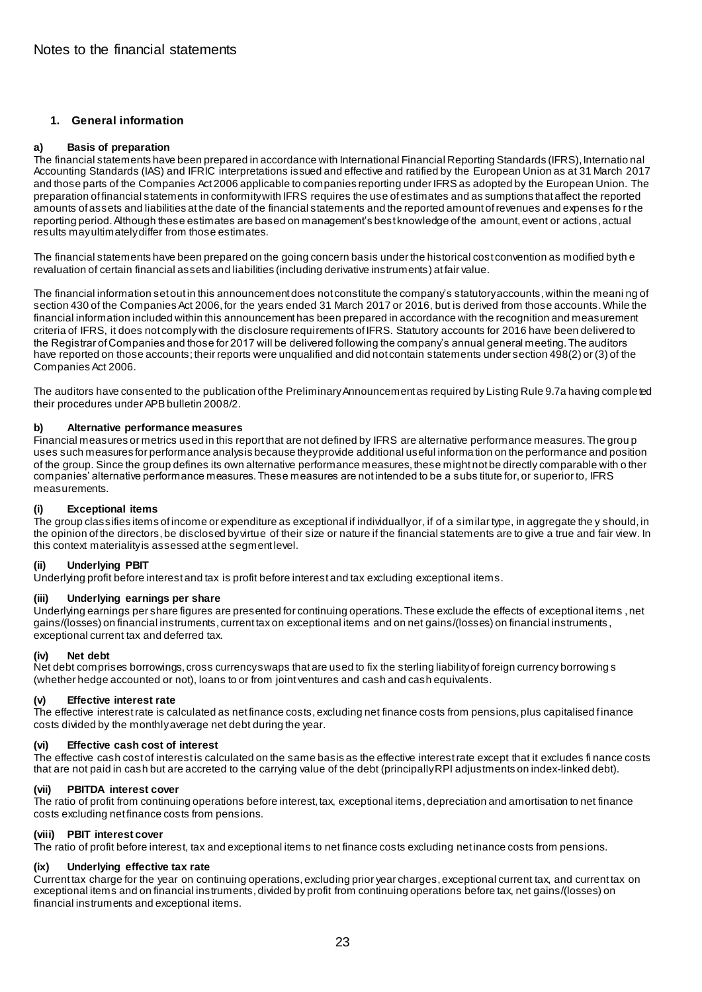### **1. General information**

### **a) Basis of preparation**

The financial statements have been prepared in accordance with International Financial Reporting Standards (IFRS), Internatio nal Accounting Standards (IAS) and IFRIC interpretations issued and effective and ratified by the European Union as at 31 March 2017 and those parts of the Companies Act 2006 applicable to companies reporting under IFRS as adopted by the European Union. The preparation of financial statements in conformity with IFRS requires the use of estimates and as sumptions that affect the reported amounts of assets and liabilities at the date of the financial statements and the reported amount of revenues and expenses fo r the reporting period. Although these estimates are based on management's best knowledge of the amount, event or actions, actual results may ultimately differ from those estimates.

The financial statements have been prepared on the going concern basis under the historical cost convention as modified by th e revaluation of certain financial assets and liabilities (including derivative instruments) at fair value.

The financial information set out in this announcement does not constitute the company's statutory accounts, within the meani ng of section 430 of the Companies Act 2006, for the years ended 31 March 2017 or 2016, but is derived from those accounts. While the financial information included within this announcement has been prepared in accordance with the recognition and measurement criteria of IFRS, it does not comply with the disclosure requirements of IFRS. Statutory accounts for 2016 have been delivered to the Registrar of Companies and those for 2017 will be delivered following the company's annual general meeting. The auditors have reported on those accounts; their reports were unqualified and did not contain statements under section 498(2) or (3) of the Companies Act 2006.

The auditors have consented to the publication of the Preliminary Announcement as required by Listing Rule 9.7a having completed their procedures under APB bulletin 2008/2.

### **b) Alternative performance measures**

Financial measures or metrics used in this report that are not defined by IFRS are alternative performance measures. The grou p uses such measures for performance analysis because they provide additional useful informa tion on the performance and position of the group. Since the group defines its own alternative performance measures, these might not be directly comparable with o ther companies' alternative performance measures. These measures are not intended to be a subs titute for, or superior to, IFRS measurements.

### **(i) Exceptional items**

The group classifies items of income or expenditure as exceptional if individually or, if of a similar type, in aggregate the y should, in the opinion of the directors, be disclosed by virtue of their size or nature if the financial statements are to give a true and fair view. In this context materiality is assessed at the segment level.

#### **(ii) Underlying PBIT**

Underlying profit before interest and tax is profit before interest and tax excluding exceptional items.

#### **(iii) Underlying earnings per share**

Underlying earnings per share figures are presented for continuing operations. These exclude the effects of exceptional items , net gains/(losses) on financial instruments, current tax on exceptional items and on net gains/(losses) on financial instruments , exceptional current tax and deferred tax.

#### **(iv) Net debt**

Net debt comprises borrowings, cross currency swaps that are used to fix the sterling liability of foreign currency borrowing s (whether hedge accounted or not), loans to or from joint ventures and cash and cash equivalents.

#### **(v) Effective interest rate**

The effective interest rate is calculated as net finance costs, excluding net finance costs from pensions, plus capitalised finance costs divided by the monthly average net debt during the year.

#### **(vi) Effective cash cost of interest**

The effective cash cost of interest is calculated on the same basis as the effective interest rate except that it excludes finance costs that are not paid in cash but are accreted to the carrying value of the debt (principally RPI adjustments on index-linked debt).

### **(vii) PBITDA interest cover**

The ratio of profit from continuing operations before interest, tax, exceptional items, depreciation and amortisation to net finance costs excluding netfinance costs from pensions.

### **(viii) PBIT interest cover**

The ratio of profit before interest, tax and exceptional items to net finance costs excluding net inance costs from pensions.

#### **(ix) Underlying effective tax rate**

Current tax charge for the year on continuing operations, excluding prior year charges, exceptional current tax, and current tax on exceptional items and on financial instruments, divided by profit from continuing operations before tax, net gains/(losses) on financial instruments and exceptional items.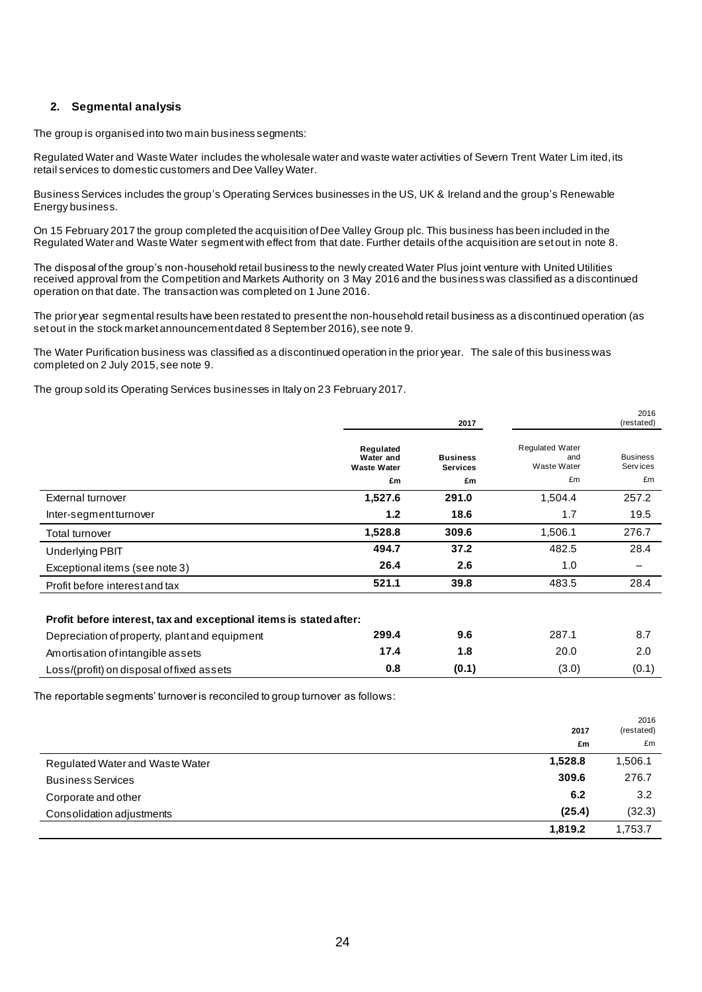### **2. Segmental analysis**

The group is organised into two main business segments:

Regulated Water and Waste Water includes the wholesale water and waste water activities of Severn Trent Water Lim ited,its retail services to domestic customers and Dee Valley Water.

Business Services includes the group's Operating Services businesses in the US, UK & Ireland and the group's Renewable Energy business.

On 15 February 2017 the group completed the acquisition of Dee Valley Group plc. This business has been included in the Regulated Water and Waste Water segment with effect from that date. Further details of the acquisition are set out in note 8.

The disposal of the group's non-household retail business to the newly created Water Plus joint venture with United Utilities received approval from the Competition and Markets Authority on 3 May 2016 and the business was classified as a discontinued operation on that date. The transaction was completed on 1 June 2016.

The prior year segmental results have been restated to present the non-household retail business as a discontinued operation (as set out in the stock market announcement dated 8 September 2016), see note 9.

The Water Purification business was classified as a discontinued operation in the prior year. The sale of this business was completed on 2 July 2015, see note 9.

The group sold its Operating Services businesses in Italy on 23 February 2017.

|                                                                    |                                              | 2017                               |                                              | 2016<br>(restated)           |
|--------------------------------------------------------------------|----------------------------------------------|------------------------------------|----------------------------------------------|------------------------------|
|                                                                    | Regulated<br>Water and<br><b>Waste Water</b> | <b>Business</b><br><b>Services</b> | <b>Regulated Water</b><br>and<br>Waste Water | <b>Business</b><br>Serv ices |
|                                                                    | £m                                           | £m                                 | £m                                           | £m                           |
| External turnover                                                  | 1,527.6                                      | 291.0                              | 1,504.4                                      | 257.2                        |
| Inter-segment turnover                                             | 1.2                                          | 18.6                               | 1.7                                          | 19.5                         |
| Total turnover                                                     | 1,528.8                                      | 309.6                              | 1,506.1                                      | 276.7                        |
| Underlying PBIT                                                    | 494.7                                        | 37.2                               | 482.5                                        | 28.4                         |
| Exceptional items (see note 3)                                     | 26.4                                         | 2.6                                | 1.0                                          |                              |
| Profit before interest and tax                                     | 521.1                                        | 39.8                               | 483.5                                        | 28.4                         |
| Profit before interest, tax and exceptional items is stated after: |                                              |                                    |                                              |                              |
| Depreciation of property, plant and equipment                      | 299.4                                        | 9.6                                | 287.1                                        | 8.7                          |
| Amortisation of intangible assets                                  | 17.4                                         | 1.8                                | 20.0                                         | 2.0                          |
| Loss/(profit) on disposal of fixed assets                          | 0.8                                          | (0.1)                              | (3.0)                                        | (0.1)                        |

The reportable segments' turnover is reconciled to group turnover as follows:

|                                 | 2017    | 2016<br>(restated) |
|---------------------------------|---------|--------------------|
|                                 | £m      | £m                 |
| Regulated Water and Waste Water | 1,528.8 | 1,506.1            |
| <b>Business Services</b>        | 309.6   | 276.7              |
| Corporate and other             | 6.2     | 3.2                |
| Consolidation adjustments       | (25.4)  | (32.3)             |
|                                 | 1,819.2 | 1,753.7            |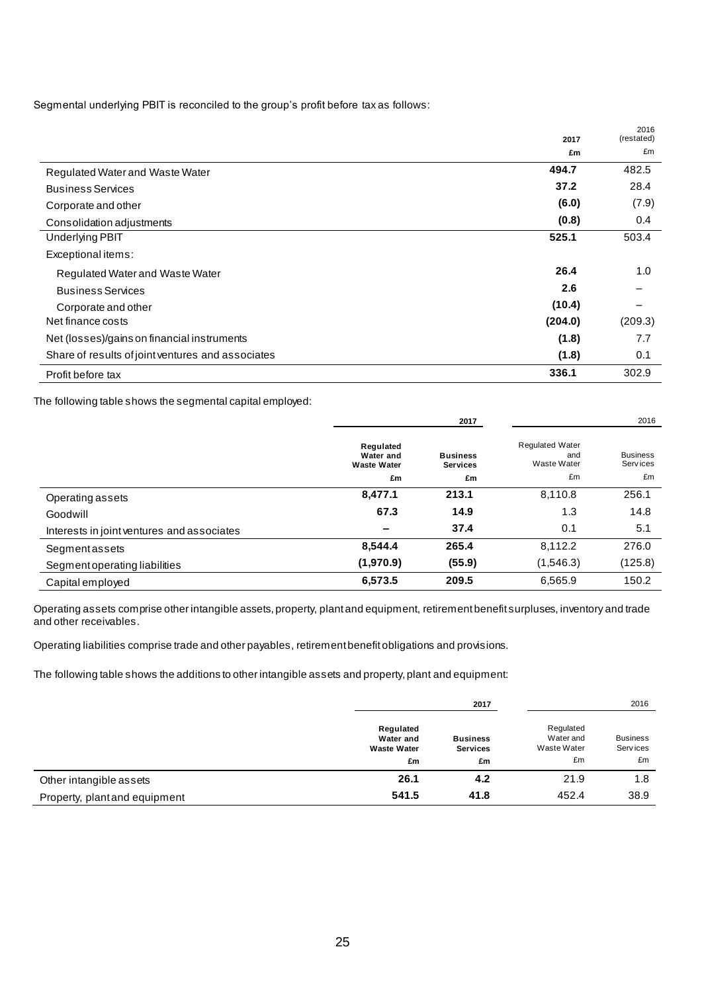Segmental underlying PBIT is reconciled to the group's profit before tax as follows:

|                                                   | 2017    | 2016<br>(restated) |
|---------------------------------------------------|---------|--------------------|
|                                                   | £m      | £m                 |
| Regulated Water and Waste Water                   | 494.7   | 482.5              |
| <b>Business Services</b>                          | 37.2    | 28.4               |
| Corporate and other                               | (6.0)   | (7.9)              |
| Consolidation adjustments                         | (0.8)   | 0.4                |
| <b>Underlying PBIT</b>                            | 525.1   | 503.4              |
| Exceptional items:                                |         |                    |
| Regulated Water and Waste Water                   | 26.4    | 1.0                |
| <b>Business Services</b>                          | 2.6     |                    |
| Corporate and other                               | (10.4)  |                    |
| Net finance costs                                 | (204.0) | (209.3)            |
| Net (losses)/gains on financial instruments       | (1.8)   | 7.7                |
| Share of results of joint ventures and associates | (1.8)   | 0.1                |
| Profit before tax                                 | 336.1   | 302.9              |

The following table shows the segmental capital employed:

|                                            |                                              | 2017                               |                                              | 2016                        |
|--------------------------------------------|----------------------------------------------|------------------------------------|----------------------------------------------|-----------------------------|
|                                            | Regulated<br>Water and<br><b>Waste Water</b> | <b>Business</b><br><b>Services</b> | <b>Requlated Water</b><br>and<br>Waste Water | <b>Business</b><br>Services |
|                                            | £m                                           | £m                                 | £m                                           | £m                          |
| Operating assets                           | 8,477.1                                      | 213.1                              | 8,110.8                                      | 256.1                       |
| Goodwill                                   | 67.3                                         | 14.9                               | 1.3                                          | 14.8                        |
| Interests in joint ventures and associates | $\overline{\phantom{a}}$                     | 37.4                               | 0.1                                          | 5.1                         |
| <b>Segment assets</b>                      | 8,544.4                                      | 265.4                              | 8,112.2                                      | 276.0                       |
| Segment operating liabilities              | (1,970.9)                                    | (55.9)                             | (1,546.3)                                    | (125.8)                     |
| Capital employed                           | 6,573.5                                      | 209.5                              | 6,565.9                                      | 150.2                       |

Operating assets comprise other intangible assets, property, plant and equipment, retirement benefit surpluses, inventory and trade and other receivables.

Operating liabilities comprise trade and other payables, retirement benefit obligations and provisions.

The following table shows the additions to other intangible assets and property, plant and equipment:

|                               |                                                    | 2017                                     |                                             | 2016                              |
|-------------------------------|----------------------------------------------------|------------------------------------------|---------------------------------------------|-----------------------------------|
|                               | Regulated<br>Water and<br><b>Waste Water</b><br>£m | <b>Business</b><br><b>Services</b><br>£m | Regulated<br>Water and<br>Waste Water<br>£m | <b>Business</b><br>Services<br>£m |
| Other intangible assets       | 26.1                                               | 4.2                                      | 21.9                                        | 1.8                               |
| Property, plant and equipment | 541.5                                              | 41.8                                     | 452.4                                       | 38.9                              |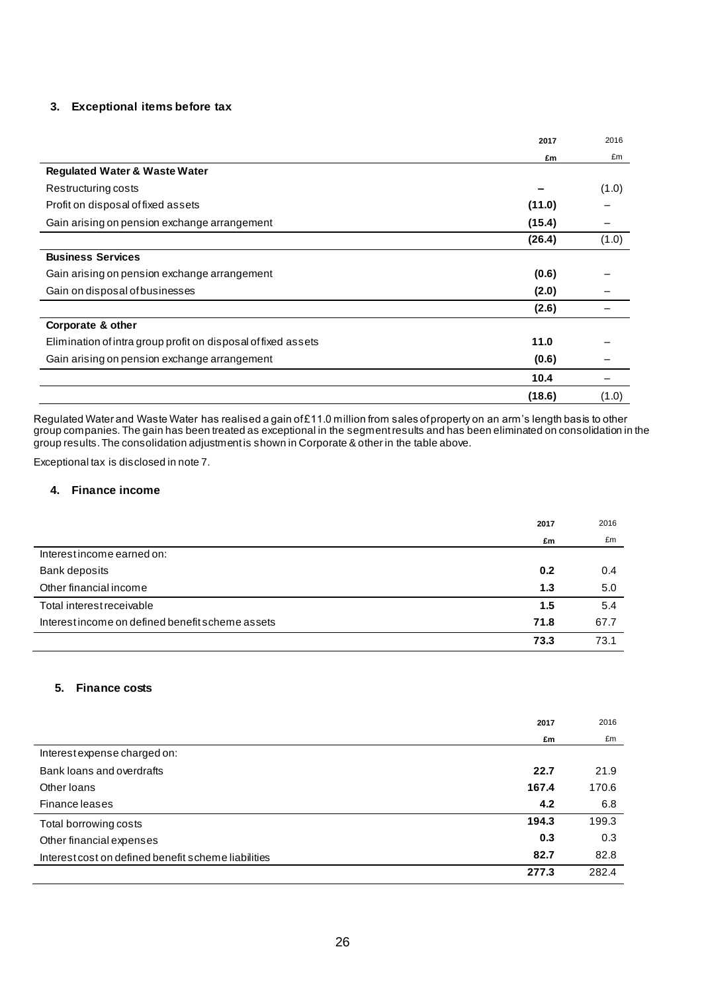### **3. Exceptional items before tax**

|                                                               | 2017   | 2016  |
|---------------------------------------------------------------|--------|-------|
|                                                               | £m     | £m    |
| <b>Regulated Water &amp; Waste Water</b>                      |        |       |
| Restructuring costs                                           |        | (1.0) |
| Profit on disposal of fixed assets                            | (11.0) |       |
| Gain arising on pension exchange arrangement                  | (15.4) |       |
|                                                               | (26.4) | (1.0) |
| <b>Business Services</b>                                      |        |       |
| Gain arising on pension exchange arrangement                  | (0.6)  |       |
| Gain on disposal of businesses                                | (2.0)  |       |
|                                                               | (2.6)  |       |
| Corporate & other                                             |        |       |
| Elimination of intra group profit on disposal of fixed assets | 11.0   |       |
| Gain arising on pension exchange arrangement                  | (0.6)  |       |
|                                                               | 10.4   |       |
|                                                               | (18.6) | (1.0) |

Regulated Water and Waste Water has realised a gain of £11.0 million from sales of property on an arm's length basis to other group companies. The gain has been treated as exceptional in the segment results and has been eliminated on consolidation in the group results. The consolidation adjustment is shown in Corporate & other in the table above.

Exceptional tax is disclosed in note 7.

#### **4. Finance income**

|                                                  | 2017 | 2016 |
|--------------------------------------------------|------|------|
|                                                  | £m   | £m   |
| Interest income earned on:                       |      |      |
| Bank deposits                                    | 0.2  | 0.4  |
| Other financial income                           | 1.3  | 5.0  |
| Total interest receivable                        | 1.5  | 5.4  |
| Interest income on defined benefit scheme assets | 71.8 | 67.7 |
|                                                  | 73.3 | 73.1 |

### **5. Finance costs**

|                                                     | 2017  | 2016  |
|-----------------------------------------------------|-------|-------|
|                                                     | £m    | £m    |
| Interest expense charged on:                        |       |       |
| Bank loans and overdrafts                           | 22.7  | 21.9  |
| Other Ioans                                         | 167.4 | 170.6 |
| Finance leases                                      | 4.2   | 6.8   |
| Total borrowing costs                               | 194.3 | 199.3 |
| Other financial expenses                            | 0.3   | 0.3   |
| Interest cost on defined benefit scheme liabilities | 82.7  | 82.8  |
|                                                     | 277.3 | 282.4 |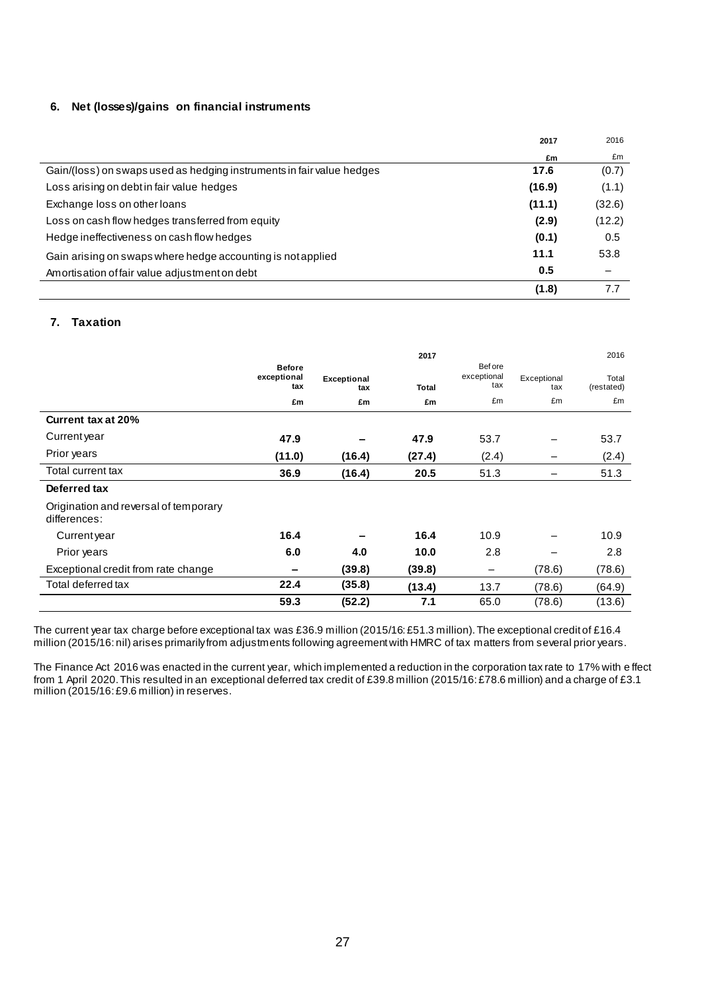### **6. Net (losses)/gains on financial instruments**

|                                                                       | 2017   | 2016   |
|-----------------------------------------------------------------------|--------|--------|
|                                                                       | £m     | £m     |
| Gain/(loss) on swaps used as hedging instruments in fair value hedges | 17.6   | (0.7)  |
| Loss arising on debt in fair value hedges                             | (16.9) | (1.1)  |
| Exchange loss on other loans                                          | (11.1) | (32.6) |
| Loss on cash flow hedges transferred from equity                      | (2.9)  | (12.2) |
| Hedge ineffectiveness on cash flow hedges                             | (0.1)  | 0.5    |
| Gain arising on swaps where hedge accounting is not applied           | 11.1   | 53.8   |
| Amortisation of fair value adjustment on debt                         | 0.5    |        |
|                                                                       | (1.8)  | 7.7    |

### **7. Taxation**

|                                                       |                              |                    | 2017   |                        |             | 2016       |
|-------------------------------------------------------|------------------------------|--------------------|--------|------------------------|-------------|------------|
|                                                       | <b>Before</b><br>exceptional | <b>Exceptional</b> |        | Bef ore<br>exceptional | Exceptional | Total      |
|                                                       | tax                          | tax                | Total  | tax                    | tax         | (restated) |
|                                                       | £m                           | £m                 | £m     | £m                     | £m          | £m         |
| Current tax at 20%                                    |                              |                    |        |                        |             |            |
| Current year                                          | 47.9                         |                    | 47.9   | 53.7                   |             | 53.7       |
| Prior years                                           | (11.0)                       | (16.4)             | (27.4) | (2.4)                  |             | (2.4)      |
| Total current tax                                     | 36.9                         | (16.4)             | 20.5   | 51.3                   |             | 51.3       |
| Deferred tax                                          |                              |                    |        |                        |             |            |
| Origination and reversal of temporary<br>differences: |                              |                    |        |                        |             |            |
| Current year                                          | 16.4                         |                    | 16.4   | 10.9                   |             | 10.9       |
| Prior years                                           | 6.0                          | 4.0                | 10.0   | 2.8                    |             | 2.8        |
| Exceptional credit from rate change                   | -                            | (39.8)             | (39.8) | -                      | (78.6)      | (78.6)     |
| Total deferred tax                                    | 22.4                         | (35.8)             | (13.4) | 13.7                   | (78.6)      | (64.9)     |
|                                                       | 59.3                         | (52.2)             | 7.1    | 65.0                   | (78.6)      | (13.6)     |

The current year tax charge before exceptional tax was £36.9 million (2015/16: £51.3 million). The exceptional credit of £16.4 million (2015/16: nil) arises primarily from adjustments following agreement with HMRC of tax matters from several prior years.

The Finance Act 2016 was enacted in the current year, which implemented a reduction in the corporation tax rate to 17% with e ffect from 1 April 2020. This resulted in an exceptional deferred tax credit of £39.8 million (2015/16: £78.6 million) and a charge of £3.1 million (2015/16: £9.6 million) in reserves.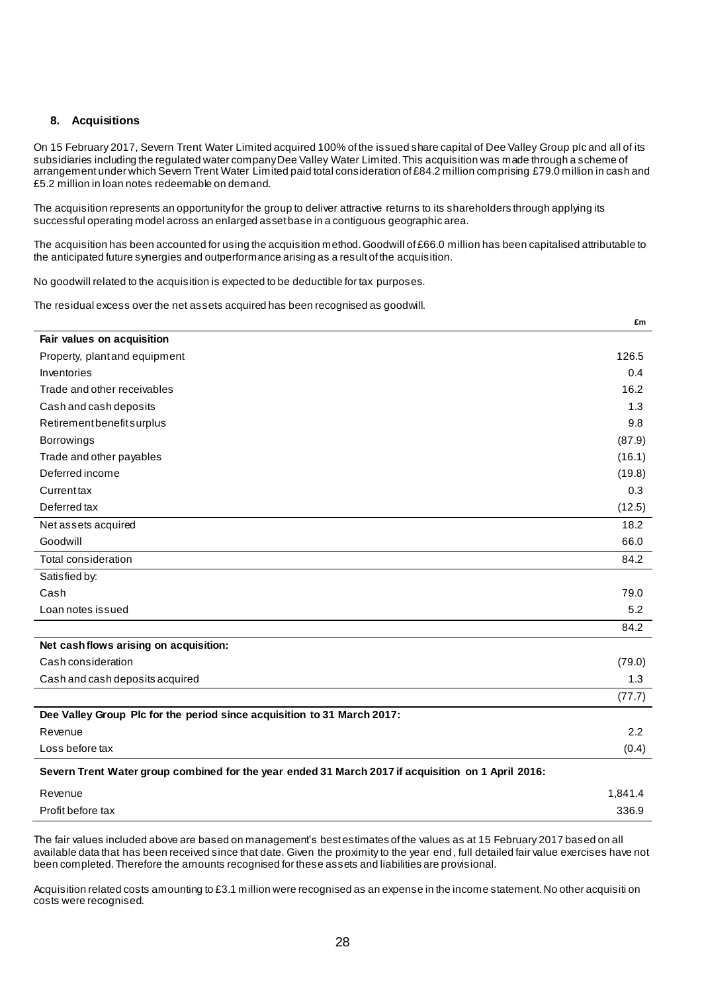### **8. Acquisitions**

On 15 February 2017, Severn Trent Water Limited acquired 100% of the issued share capital of Dee Valley Group plc and all of its subsidiaries including the regulated water company Dee Valley Water Limited. This acquisition was made through a scheme of arrangement under which Severn Trent Water Limited paid total consideration of £84.2 million comprising £79.0 million in cash and £5.2 million in loan notes redeemable on demand.

The acquisition represents an opportunity for the group to deliver attractive returns to its shareholders through applying its successful operating model across an enlarged asset base in a contiguous geographic area.

The acquisition has been accounted for using the acquisition method. Goodwill of £66.0 million has been capitalised attributable to the anticipated future synergies and outperformance arising as a result of the acquisition.

No goodwill related to the acquisition is expected to be deductible for tax purposes.

The residual excess over the net assets acquired has been recognised as goodwill.

|                                                                                                    | £m     |
|----------------------------------------------------------------------------------------------------|--------|
| Fair values on acquisition                                                                         |        |
| Property, plant and equipment                                                                      | 126.5  |
| Inventories                                                                                        | 0.4    |
| Trade and other receivables                                                                        | 16.2   |
| Cash and cash deposits                                                                             | 1.3    |
| Retirement benefit surplus                                                                         | 9.8    |
| Borrowings                                                                                         | (87.9) |
| Trade and other payables                                                                           | (16.1) |
| Deferred income                                                                                    | (19.8) |
| Currenttax                                                                                         | 0.3    |
| Deferred tax                                                                                       | (12.5) |
| Net assets acquired                                                                                | 18.2   |
| Goodwill                                                                                           | 66.0   |
| Total consideration                                                                                | 84.2   |
| Satisfied by:                                                                                      |        |
| Cash                                                                                               | 79.0   |
| Loan notes issued                                                                                  | 5.2    |
|                                                                                                    | 84.2   |
| Net cash flows arising on acquisition:                                                             |        |
| Cash consideration                                                                                 | (79.0) |
| Cash and cash deposits acquired                                                                    | 1.3    |
|                                                                                                    | (77.7) |
| Dee Valley Group Plc for the period since acquisition to 31 March 2017:                            |        |
| Revenue                                                                                            | 2.2    |
| Loss before tax                                                                                    | (0.4)  |
| Severn Trent Water group combined for the year ended 31 March 2017 if acquisition on 1 April 2016: |        |

| Revenue           | 1.841.4 |
|-------------------|---------|
| Profit before tax | 336.9   |

The fair values included above are based on management's best estimates of the values as at 15 February 2017 based on all available data that has been received since that date. Given the proximity to the year end , full detailed fair value exercises have not been completed. Therefore the amounts recognised for these assets and liabilities are provisional.

Acquisition related costs amounting to £3.1 million were recognised as an expense in the income statement. No other acquisiti on costs were recognised.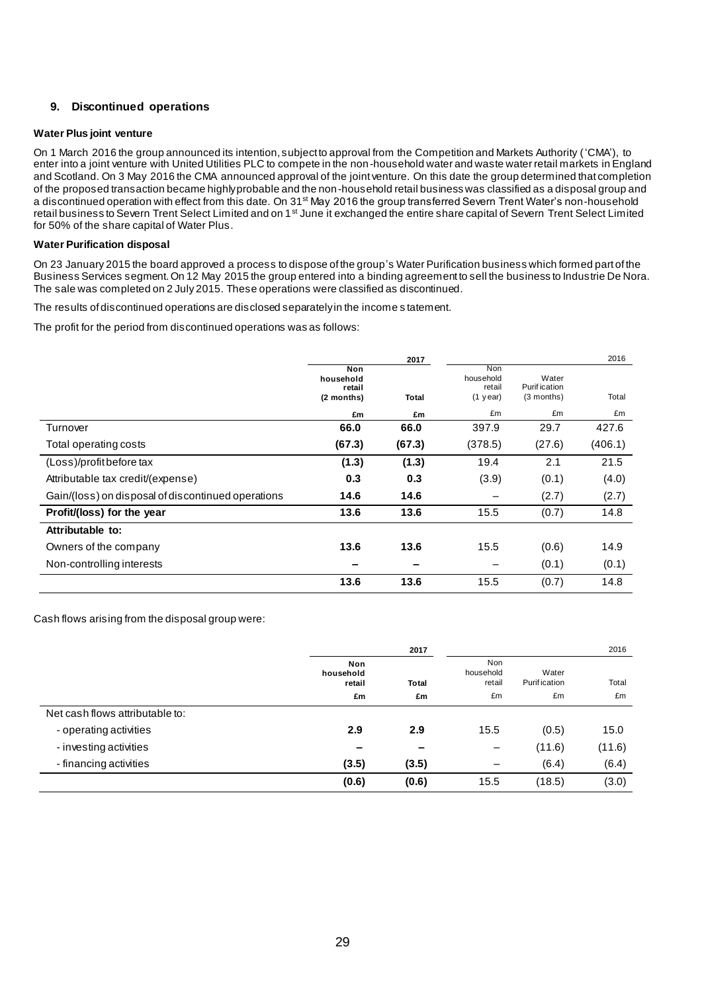### **9. Discontinued operations**

#### **Water Plus joint venture**

On 1 March 2016 the group announced its intention, subject to approval from the Competition and Markets Authority ('CMA'), to enter into a joint venture with United Utilities PLC to compete in the non-household water and waste water retail markets in England and Scotland. On 3 May 2016 the CMA announced approval of the joint venture. On this date the group determined that completion of the proposed transaction became highly probable and the non-household retail business was classified as a disposal group and a discontinued operation with effect from this date. On 31<sup>st</sup> May 2016 the group transferred Severn Trent Water's non-household retail business to Severn Trent Select Limited and on 1<sup>st</sup> June it exchanged the entire share capital of Severn Trent Select Limited for 50% of the share capital of Water Plus.

#### **Water Purification disposal**

On 23 January 2015 the board approved a process to dispose of the group's Water Purification business which formed part of the Business Services segment. On 12 May 2015 the group entered into a binding agreement to sell the business to Industrie De Nora. The sale was completed on 2 July 2015. These operations were classified as discontinued.

The results of discontinued operations are disclosed separately in the income s tatement.

The profit for the period from discontinued operations was as follows:

|                                                    |                            | 2017   |                            |                               | 2016    |
|----------------------------------------------------|----------------------------|--------|----------------------------|-------------------------------|---------|
|                                                    | Non<br>household<br>retail |        | Non<br>household<br>retail | Water<br><b>Purif</b> ication |         |
|                                                    | (2 months)                 | Total  | $(1$ year)                 | (3 months)                    | Total   |
|                                                    | £m                         | £m     | £m                         | £m                            | £m      |
| Turnover                                           | 66.0                       | 66.0   | 397.9                      | 29.7                          | 427.6   |
| Total operating costs                              | (67.3)                     | (67.3) | (378.5)                    | (27.6)                        | (406.1) |
| (Loss)/profit before tax                           | (1.3)                      | (1.3)  | 19.4                       | 2.1                           | 21.5    |
| Attributable tax credit/(expense)                  | 0.3                        | 0.3    | (3.9)                      | (0.1)                         | (4.0)   |
| Gain/(loss) on disposal of discontinued operations | 14.6                       | 14.6   |                            | (2.7)                         | (2.7)   |
| Profit/(loss) for the year                         | 13.6                       | 13.6   | 15.5                       | (0.7)                         | 14.8    |
| Attributable to:                                   |                            |        |                            |                               |         |
| Owners of the company                              | 13.6                       | 13.6   | 15.5                       | (0.6)                         | 14.9    |
| Non-controlling interests                          |                            |        |                            | (0.1)                         | (0.1)   |
|                                                    | 13.6                       | 13.6   | 15.5                       | (0.7)                         | 14.8    |

Cash flows arising from the disposal group were:

|                                 |                            | 2017         |                                   |                              | 2016   |
|---------------------------------|----------------------------|--------------|-----------------------------------|------------------------------|--------|
|                                 | Non<br>household<br>retail | <b>Total</b> | <b>Non</b><br>household<br>retail | Water<br><b>Purification</b> | Total  |
|                                 | £m                         | £m           | £m                                | £m                           | £m     |
| Net cash flows attributable to: |                            |              |                                   |                              |        |
| - operating activities          | 2.9                        | 2.9          | 15.5                              | (0.5)                        | 15.0   |
| - investing activities          | -                          |              | -                                 | (11.6)                       | (11.6) |
| - financing activities          | (3.5)                      | (3.5)        | —                                 | (6.4)                        | (6.4)  |
|                                 | (0.6)                      | (0.6)        | 15.5                              | (18.5)                       | (3.0)  |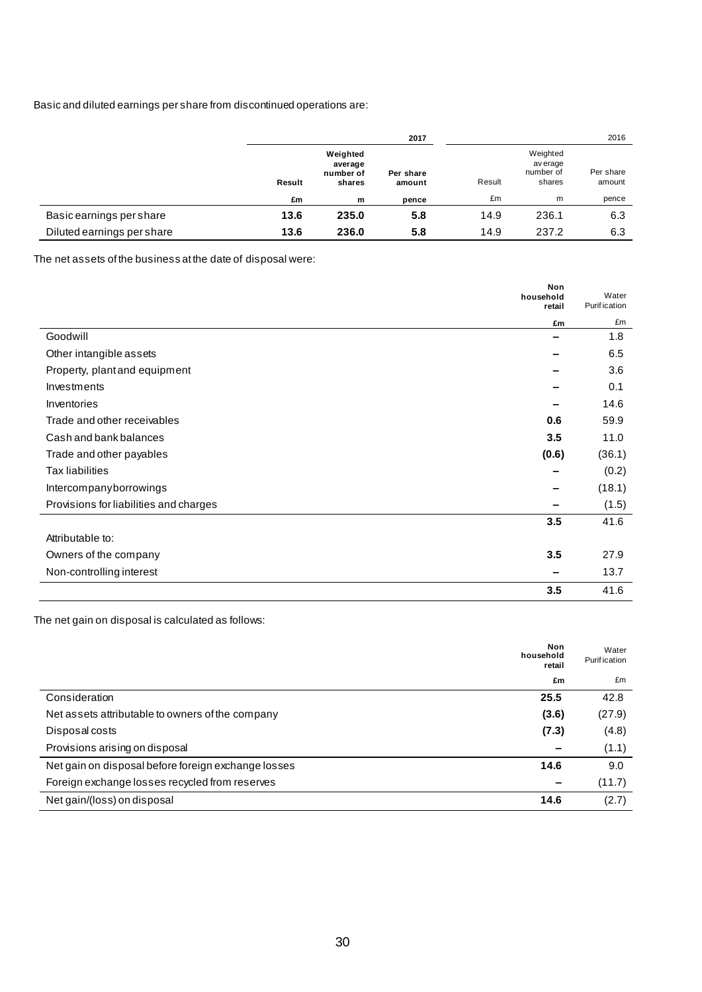### Basic and diluted earnings per share from discontinued operations are:

|                            |        |                                            | 2017                |        |                                             | 2016                |
|----------------------------|--------|--------------------------------------------|---------------------|--------|---------------------------------------------|---------------------|
|                            | Result | Weighted<br>average<br>number of<br>shares | Per share<br>amount | Result | Weighted<br>av erage<br>number of<br>shares | Per share<br>amount |
|                            | £m     | m                                          | pence               | £m     | m                                           | pence               |
| Basic earnings per share   | 13.6   | 235.0                                      | 5.8                 | 14.9   | 236.1                                       | 6.3                 |
| Diluted earnings per share | 13.6   | 236.0                                      | 5.8                 | 14.9   | 237.2                                       | 6.3                 |

The net assets of the business at the date of disposal were:

|                                        | Non<br>household<br>retail | Water<br><b>Purification</b> |
|----------------------------------------|----------------------------|------------------------------|
|                                        | £m                         | £m                           |
| Goodwill                               |                            | 1.8                          |
| Other intangible assets                |                            | 6.5                          |
| Property, plant and equipment          |                            | 3.6                          |
| Investments                            |                            | 0.1                          |
| Inventories                            |                            | 14.6                         |
| Trade and other receivables            | 0.6                        | 59.9                         |
| Cash and bank balances                 | 3.5                        | 11.0                         |
| Trade and other payables               | (0.6)                      | (36.1)                       |
| <b>Tax liabilities</b>                 |                            | (0.2)                        |
| Intercompanyborrowings                 |                            | (18.1)                       |
| Provisions for liabilities and charges |                            | (1.5)                        |
|                                        | 3.5                        | 41.6                         |
| Attributable to:                       |                            |                              |
| Owners of the company                  | 3.5                        | 27.9                         |
| Non-controlling interest               |                            | 13.7                         |
|                                        | 3.5                        | 41.6                         |

The net gain on disposal is calculated as follows:

|                                                     | Non<br>household<br>retail | Water<br><b>Purification</b> |
|-----------------------------------------------------|----------------------------|------------------------------|
|                                                     | £m                         | £m                           |
| Consideration                                       | 25.5                       | 42.8                         |
| Net assets attributable to owners of the company    | (3.6)                      | (27.9)                       |
| Disposal costs                                      | (7.3)                      | (4.8)                        |
| Provisions arising on disposal                      |                            | (1.1)                        |
| Net gain on disposal before foreign exchange losses | 14.6                       | 9.0                          |
| Foreign exchange losses recycled from reserves      |                            | (11.7)                       |
| Net gain/(loss) on disposal                         | 14.6                       | (2.7)                        |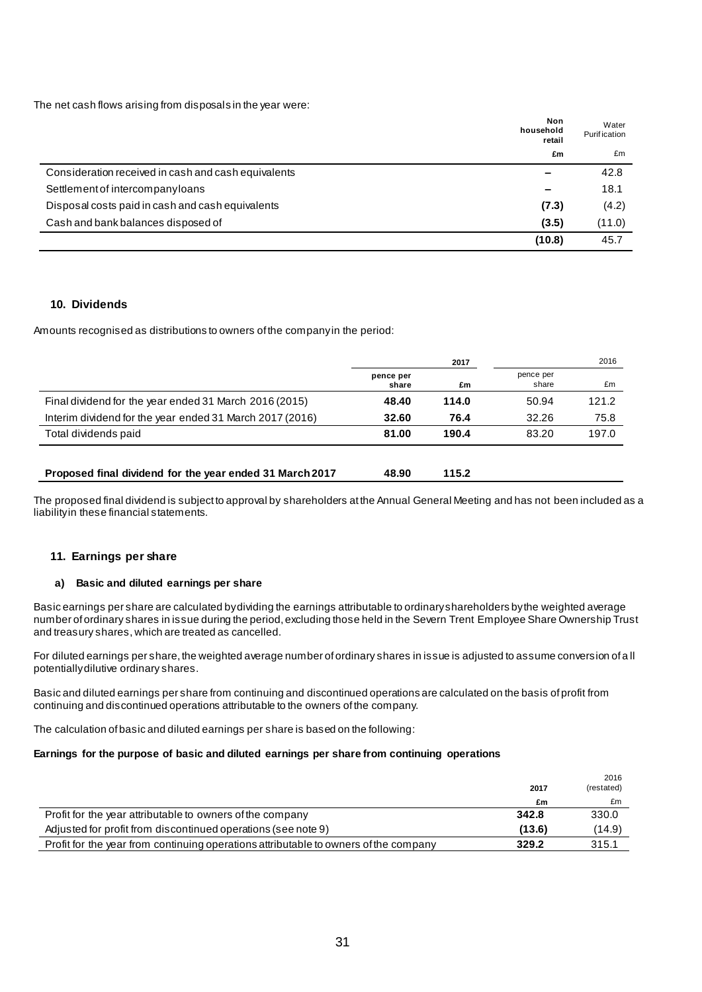The net cash flows arising from disposals in the year were:

|                                                     | Non<br>household<br>retail | Water<br><b>Purification</b> |
|-----------------------------------------------------|----------------------------|------------------------------|
|                                                     | £m                         | £m                           |
| Consideration received in cash and cash equivalents |                            | 42.8                         |
| Settlement of intercompanyloans                     |                            | 18.1                         |
| Disposal costs paid in cash and cash equivalents    | (7.3)                      | (4.2)                        |
| Cash and bank balances disposed of                  | (3.5)                      | (11.0)                       |
|                                                     | (10.8)                     | 45.7                         |

### **10. Dividends**

Amounts recognised as distributions to owners of the company in the period:

|                                                          | 2017               |       |                    | 2016  |
|----------------------------------------------------------|--------------------|-------|--------------------|-------|
|                                                          | pence per<br>share | £m    | pence per<br>share | £m    |
| Final dividend for the year ended 31 March 2016 (2015)   | 48.40              | 114.0 | 50.94              | 121.2 |
| Interim dividend for the year ended 31 March 2017 (2016) | 32.60              | 76.4  | 32.26              | 75.8  |
| Total dividends paid                                     | 81.00              | 190.4 | 83.20              | 197.0 |
| Proposed final dividend for the year ended 31 March 2017 | 48.90              | 115.2 |                    |       |

The proposed final dividend is subject to approval by shareholders at the Annual General Meeting and has not been included as a liability in these financial statements.

### **11. Earnings per share**

### **a) Basic and diluted earnings per share**

Basic earnings per share are calculated by dividing the earnings attributable to ordinary shareholders by the weighted average number of ordinary shares in issue during the period, excluding those held in the Severn Trent Employee Share Ownership Trust and treasury shares, which are treated as cancelled.

For diluted earnings per share, the weighted average number of ordinary shares in issue is adjusted to assume conversion of a ll potentially dilutive ordinary shares.

Basic and diluted earnings per share from continuing and discontinued operations are calculated on the basis of profit from continuing and discontinued operations attributable to the owners of the company.

The calculation of basic and diluted earnings per share is based on the following:

#### **Earnings for the purpose of basic and diluted earnings per share from continuing operations**

|                                                                                      | 2017   | 2016<br>(restated) |
|--------------------------------------------------------------------------------------|--------|--------------------|
|                                                                                      | £m     | £m                 |
| Profit for the year attributable to owners of the company                            | 342.8  | 330.0              |
| Adjusted for profit from discontinued operations (see note 9)                        | (13.6) | (14.9)             |
| Profit for the year from continuing operations attributable to owners of the company | 329.2  | 315.1              |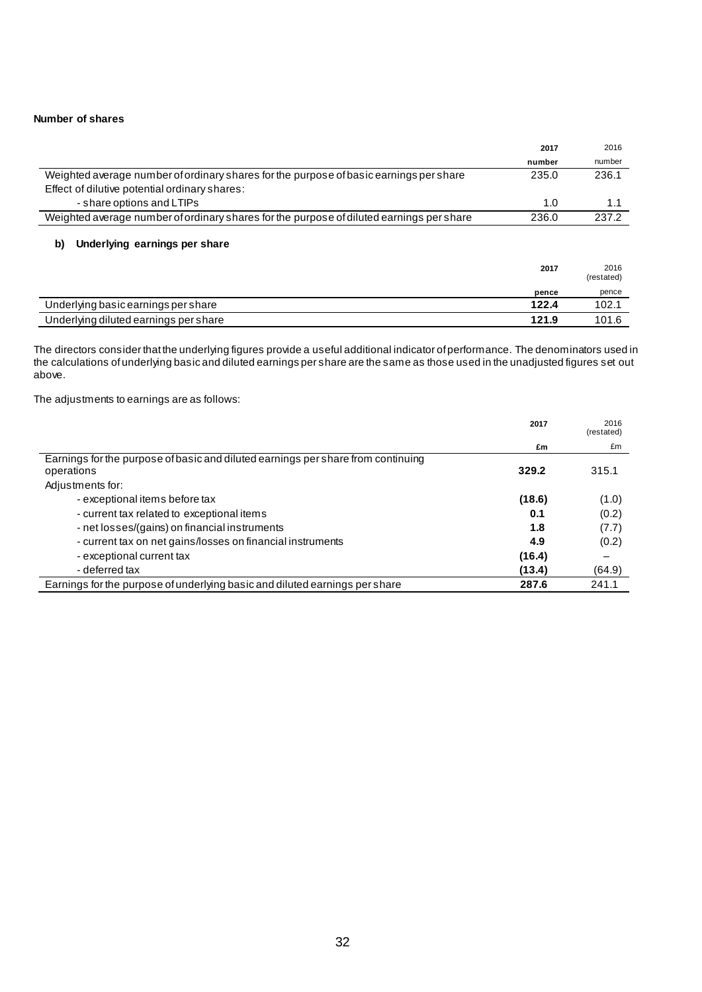#### **Number of shares**

|                                                                                          | 2017   | 2016               |
|------------------------------------------------------------------------------------------|--------|--------------------|
|                                                                                          | number | number             |
| Weighted average number of ordinary shares for the purpose of basic earnings per share   | 235.0  | 236.1              |
| Effect of dilutive potential ordinary shares:                                            |        |                    |
| - share options and LTIPs                                                                | 1.0    | 1.1                |
| Weighted average number of ordinary shares for the purpose of diluted earnings per share | 236.0  | 237.2              |
| Underlying earnings per share<br>b)                                                      | 2017   | 2016<br>(restated) |
|                                                                                          | pence  | pence              |
| Underlying basic earnings per share                                                      | 122.4  | 102.1              |
| Underlying diluted earnings per share                                                    | 121.9  | 101.6              |

The directors consider that the underlying figures provide a useful additional indicator of performance. The denominators used in the calculations of underlying basic and diluted earnings per share are the same as those used in the unadjusted figures set out above.

The adjustments to earnings are as follows:

|                                                                                  | 2017   | 2016<br>(restated) |
|----------------------------------------------------------------------------------|--------|--------------------|
|                                                                                  | £m     | £m                 |
| Earnings for the purpose of basic and diluted earnings per share from continuing |        |                    |
| operations                                                                       | 329.2  | 315.1              |
| Adjustments for:                                                                 |        |                    |
| - exceptional items before tax                                                   | (18.6) | (1.0)              |
| - current tax related to exceptional items                                       | 0.1    | (0.2)              |
| - net losses/(gains) on financial instruments                                    | 1.8    | (7.7)              |
| - current tax on net gains/losses on financial instruments                       | 4.9    | (0.2)              |
| - exceptional current tax                                                        | (16.4) |                    |
| - deferred tax                                                                   | (13.4) | (64.9)             |
| Earnings for the purpose of underlying basic and diluted earnings per share      | 287.6  | 241.1              |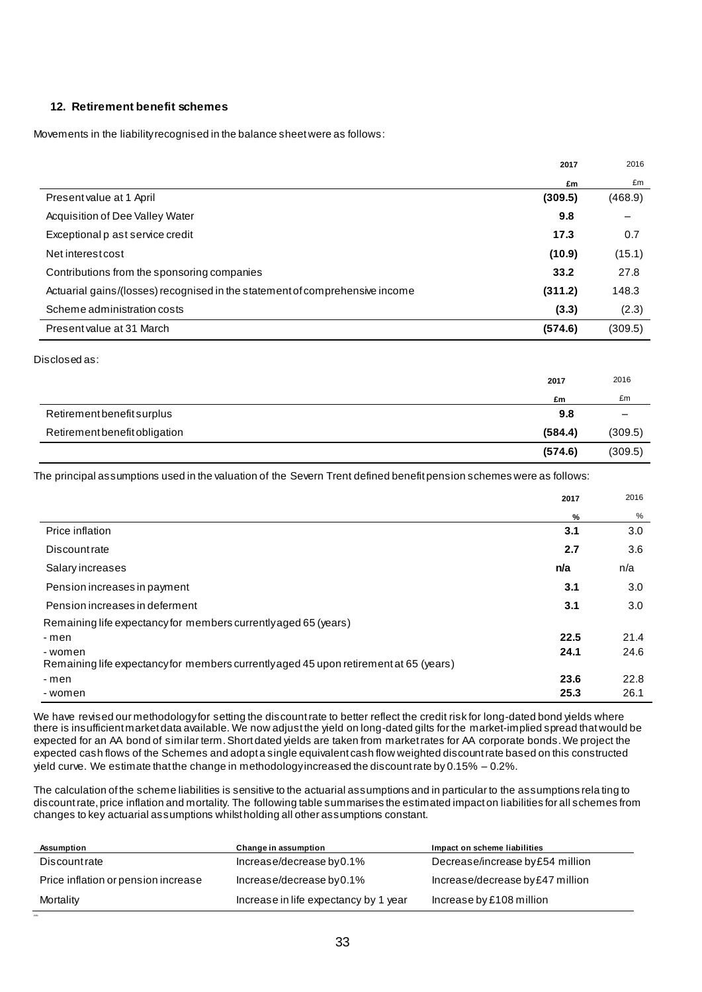### **12. Retirement benefit schemes**

Movements in the liability recognised in the balance sheet were as follows:

|                                                                              | 2017    | 2016    |
|------------------------------------------------------------------------------|---------|---------|
|                                                                              | £m      | £m      |
| Present value at 1 April                                                     | (309.5) | (468.9) |
| Acquisition of Dee Valley Water                                              | 9.8     |         |
| Exceptional p ast service credit                                             | 17.3    | 0.7     |
| Net interest cost                                                            | (10.9)  | (15.1)  |
| Contributions from the sponsoring companies                                  | 33.2    | 27.8    |
| Actuarial gains/(losses) recognised in the statement of comprehensive income | (311.2) | 148.3   |
| Scheme administration costs                                                  | (3.3)   | (2.3)   |
| Present value at 31 March                                                    | (574.6) | (309.5) |

#### Disclosed as:

|                               | 2017    | 2016            |
|-------------------------------|---------|-----------------|
|                               | £m      | £m              |
| Retirement benefit surplus    | 9.8     | $\qquad \qquad$ |
| Retirement benefit obligation | (584.4) | (309.5)         |
|                               | (574.6) | (309.5)         |

The principal assumptions used in the valuation of the Severn Trent defined benefit pension schemes were as follows:

|                                                                                                 | 2017 | 2016 |
|-------------------------------------------------------------------------------------------------|------|------|
|                                                                                                 | $\%$ | %    |
| Price inflation                                                                                 | 3.1  | 3.0  |
| <b>Discountrate</b>                                                                             | 2.7  | 3.6  |
| Salary increases                                                                                | n/a  | n/a  |
| Pension increases in payment                                                                    | 3.1  | 3.0  |
| Pension increases in deferment                                                                  | 3.1  | 3.0  |
| Remaining life expectancy for members currently aged 65 (years)                                 |      |      |
| - men                                                                                           | 22.5 | 21.4 |
| -women<br>Remaining life expectancy for members currently aged 45 upon retirement at 65 (years) | 24.1 | 24.6 |
| - men                                                                                           | 23.6 | 22.8 |
| -women                                                                                          | 25.3 | 26.1 |

We have revised our methodology for setting the discount rate to better reflect the credit risk for long-dated bond yields where there is insufficient market data available. We now adjust the yield on long-dated gilts for the market-implied spread that would be expected for an AA bond of similar term. Short dated yields are taken from market rates for AA corporate bonds. We project the expected cash flows of the Schemes and adopt a single equivalent cash flow weighted discount rate based on this constructed yield curve. We estimate that the change in methodology increased the discount rate by 0.15% – 0.2%.

The calculation of the scheme liabilities is sensitive to the actuarial assumptions and in particular to the assumptions rela ting to discount rate, price inflation and mortality. The following table summarises the estimated impact on liabilities for all schemes from changes to key actuarial assumptions whilst holding all other assumptions constant.

| Assumption                          | Change in assumption                  | Impact on scheme liabilities     |
|-------------------------------------|---------------------------------------|----------------------------------|
| <b>Discountrate</b>                 | Increase/decrease by 0.1%             | Decrease/increase by £54 million |
| Price inflation or pension increase | Increase/decrease by $0.1\%$          | Increase/decrease by £47 million |
| Mortality                           | Increase in life expectancy by 1 year | Increase by £108 million         |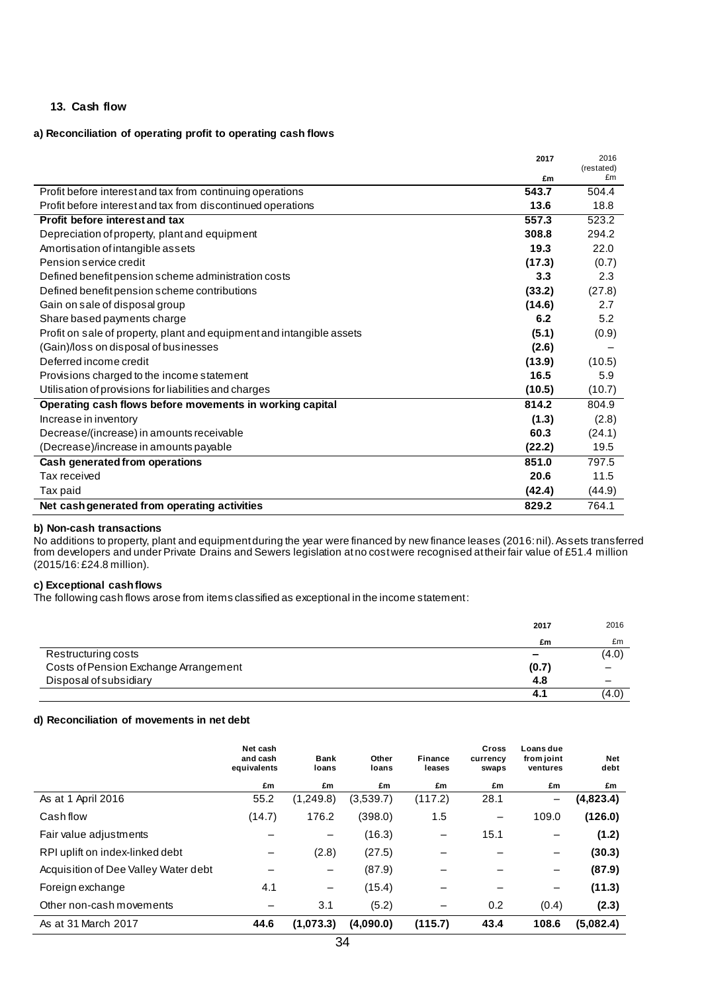### **13. Cash flow**

#### **a) Reconciliation of operating profit to operating cash flows**

|                                                                       | 2017   | 2016<br>(restated) |
|-----------------------------------------------------------------------|--------|--------------------|
|                                                                       | £m     | £m                 |
| Profit before interest and tax from continuing operations             | 543.7  | 504.4              |
| Profit before interest and tax from discontinued operations           | 13.6   | 18.8               |
| Profit before interest and tax                                        | 557.3  | 523.2              |
| Depreciation of property, plant and equipment                         | 308.8  | 294.2              |
| Amortisation of intangible assets                                     | 19.3   | 22.0               |
| Pension service credit                                                | (17.3) | (0.7)              |
| Defined benefit pension scheme administration costs                   | 3.3    | 2.3                |
| Defined benefit pension scheme contributions                          | (33.2) | (27.8)             |
| Gain on sale of disposal group                                        | (14.6) | 2.7                |
| Share based payments charge                                           | 6.2    | 5.2                |
| Profit on sale of property, plant and equipment and intangible assets | (5.1)  | (0.9)              |
| (Gain)/loss on disposal of businesses                                 | (2.6)  |                    |
| Deferred income credit                                                | (13.9) | (10.5)             |
| Provisions charged to the income statement                            | 16.5   | 5.9                |
| Utilisation of provisions for liabilities and charges                 | (10.5) | (10.7)             |
| Operating cash flows before movements in working capital              | 814.2  | 804.9              |
| Increase in inventory                                                 | (1.3)  | (2.8)              |
| Decrease/(increase) in amounts receivable                             | 60.3   | (24.1)             |
| (Decrease)/increase in amounts payable                                | (22.2) | 19.5               |
| Cash generated from operations                                        | 851.0  | 797.5              |
| Tax received                                                          | 20.6   | 11.5               |
| Tax paid                                                              | (42.4) | (44.9)             |
| Net cash generated from operating activities                          | 829.2  | 764.1              |

#### **b) Non-cash transactions**

No additions to property, plant and equipment during the year were financed by new finance leases (2016: nil). Assets transferred from developers and under Private Drains and Sewers legislation at no cost were recognised at their fair value of £51.4 million (2015/16: £24.8 million).

#### **c) Exceptional cash flows**

The following cash flows arose from items classified as exceptional in the income statement:

|                                       | 2017                     | 2016            |
|---------------------------------------|--------------------------|-----------------|
|                                       | £m                       | £m              |
| Restructuring costs                   | $\overline{\phantom{a}}$ | (4.0)           |
| Costs of Pension Exchange Arrangement | (0.7)                    | $\qquad \qquad$ |
| Disposal of subsidiary                | 4.8                      |                 |
|                                       |                          | (4.0)           |

#### **d) Reconciliation of movements in net debt**

|                                      | Net cash<br>and cash<br>equivalents | Bank<br>loans     | Other<br>loans | Finance<br>leases | <b>Cross</b><br>currency<br>swaps | Loans due<br>from joint<br>ventures | Net<br>debt |
|--------------------------------------|-------------------------------------|-------------------|----------------|-------------------|-----------------------------------|-------------------------------------|-------------|
|                                      | £m                                  | £m                | £m             | £m                | £m                                | £m                                  | £m          |
| As at 1 April 2016                   | 55.2                                | (1,249.8)         | (3,539.7)      | (117.2)           | 28.1                              | $\qquad \qquad -$                   | (4,823.4)   |
| Cash flow                            | (14.7)                              | 176.2             | (398.0)        | 1.5               | $\overline{\phantom{m}}$          | 109.0                               | (126.0)     |
| Fair value adjustments               |                                     |                   | (16.3)         |                   | 15.1                              |                                     | (1.2)       |
| RPI uplift on index-linked debt      |                                     | (2.8)             | (27.5)         |                   |                                   |                                     | (30.3)      |
| Acquisition of Dee Valley Water debt |                                     | -                 | (87.9)         |                   |                                   | -                                   | (87.9)      |
| Foreign exchange                     | 4.1                                 | $\qquad \qquad -$ | (15.4)         |                   |                                   | -                                   | (11.3)      |
| Other non-cash movements             |                                     | 3.1               | (5.2)          |                   | 0.2                               | (0.4)                               | (2.3)       |
| As at 31 March 2017                  | 44.6                                | (1,073.3)         | (4.090.0)      | (115.7)           | 43.4                              | 108.6                               | (5,082.4)   |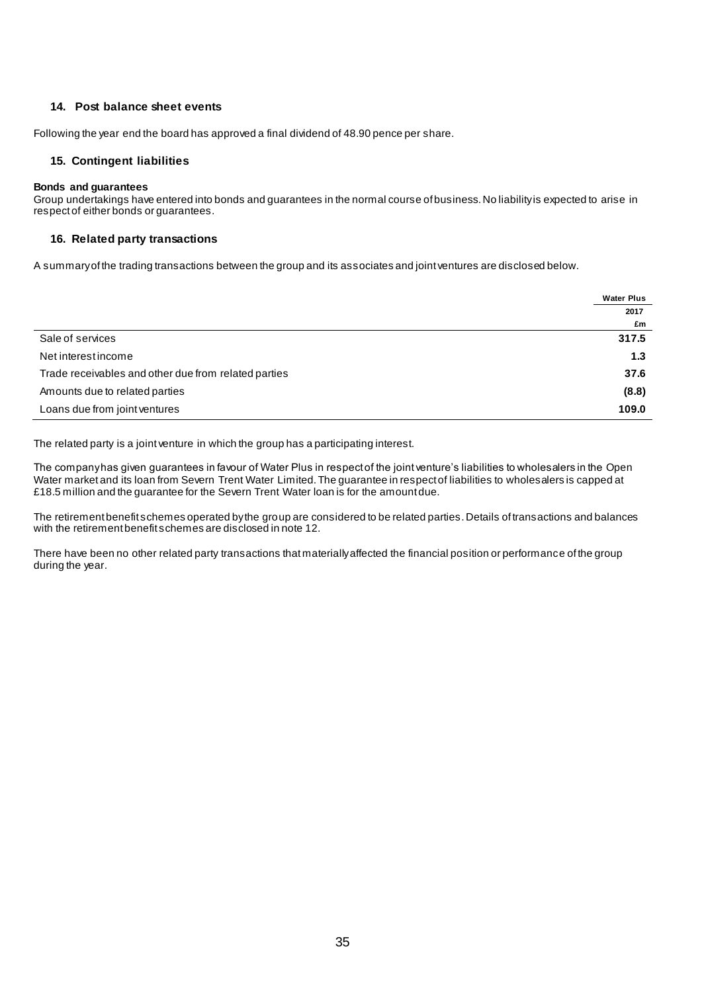### **14. Post balance sheet events**

Following the year end the board has approved a final dividend of 48.90 pence per share.

### **15. Contingent liabilities**

#### **Bonds and guarantees**

Group undertakings have entered into bonds and guarantees in the normal course of business. No liability is expected to arise in respect of either bonds or guarantees.

### **16. Related party transactions**

A summary of the trading transactions between the group and its associates and joint ventures are disclosed below.

|                                                      | <b>Water Plus</b> |
|------------------------------------------------------|-------------------|
|                                                      | 2017              |
|                                                      | £m                |
| Sale of services                                     | 317.5             |
| Net interest income                                  | 1.3               |
| Trade receivables and other due from related parties | 37.6              |
| Amounts due to related parties                       | (8.8)             |
| Loans due from joint ventures                        | 109.0             |

The related party is a joint venture in which the group has a participating interest.

The company has given guarantees in favour of Water Plus in respect of the joint venture's liabilities to wholesalers in the Open Water market and its loan from Severn Trent Water Limited. The guarantee in respect of liabilities to wholesalers is capped at £18.5 million and the guarantee for the Severn Trent Water loan is for the amount due.

The retirement benefit schemes operated by the group are considered to be related parties. Details of transactions and balances with the retirement benefit schemes are disclosed in note 12.

There have been no other related party transactions that materially affected the financial position or performance of the group during the year.